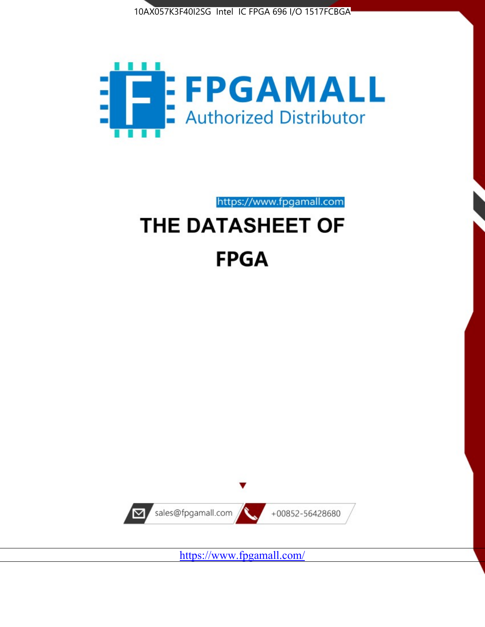



https://www.fpgamall.com

# THE DATASHEET OF **FPGA**



<https://www.fpgamall.com/>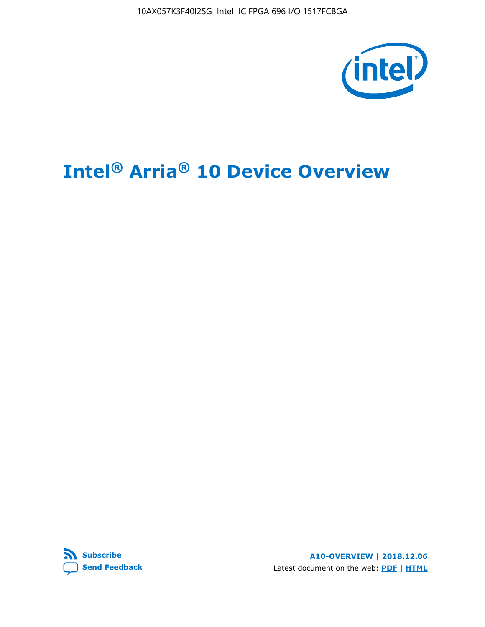10AX057K3F40I2SG Intel IC FPGA 696 I/O 1517FCBGA



# **Intel® Arria® 10 Device Overview**



**A10-OVERVIEW | 2018.12.06** Latest document on the web: **[PDF](https://www.intel.com/content/dam/www/programmable/us/en/pdfs/literature/hb/arria-10/a10_overview.pdf)** | **[HTML](https://www.intel.com/content/www/us/en/programmable/documentation/sam1403480274650.html)**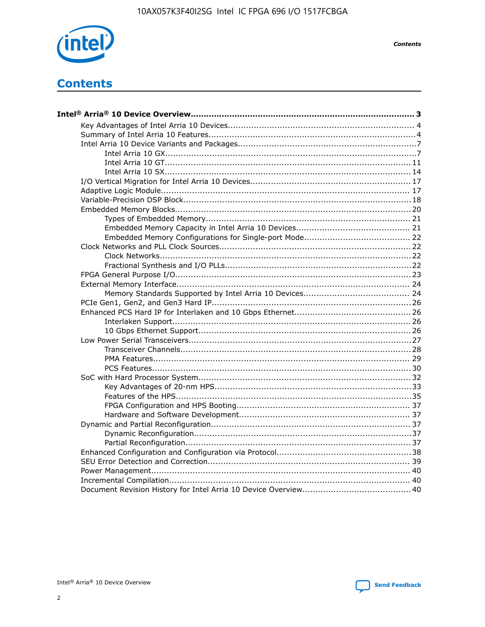

**Contents** 

# **Contents**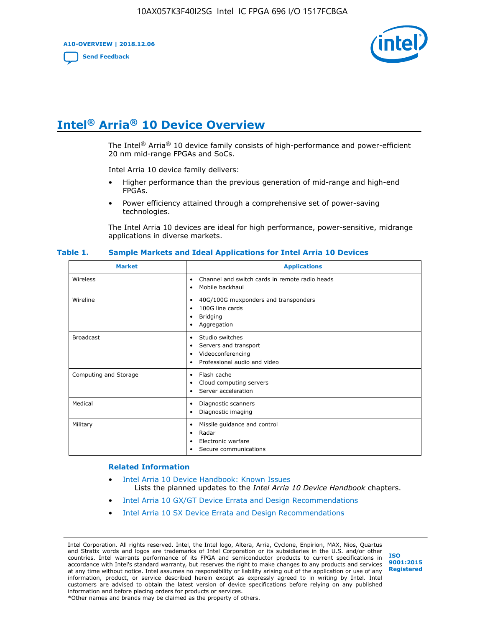**A10-OVERVIEW | 2018.12.06**

**[Send Feedback](mailto:FPGAtechdocfeedback@intel.com?subject=Feedback%20on%20Intel%20Arria%2010%20Device%20Overview%20(A10-OVERVIEW%202018.12.06)&body=We%20appreciate%20your%20feedback.%20In%20your%20comments,%20also%20specify%20the%20page%20number%20or%20paragraph.%20Thank%20you.)**



# **Intel® Arria® 10 Device Overview**

The Intel<sup>®</sup> Arria<sup>®</sup> 10 device family consists of high-performance and power-efficient 20 nm mid-range FPGAs and SoCs.

Intel Arria 10 device family delivers:

- Higher performance than the previous generation of mid-range and high-end FPGAs.
- Power efficiency attained through a comprehensive set of power-saving technologies.

The Intel Arria 10 devices are ideal for high performance, power-sensitive, midrange applications in diverse markets.

| <b>Market</b>         | <b>Applications</b>                                                                                               |
|-----------------------|-------------------------------------------------------------------------------------------------------------------|
| Wireless              | Channel and switch cards in remote radio heads<br>٠<br>Mobile backhaul<br>٠                                       |
| Wireline              | 40G/100G muxponders and transponders<br>٠<br>100G line cards<br>٠<br><b>Bridging</b><br>٠<br>Aggregation<br>٠     |
| <b>Broadcast</b>      | Studio switches<br>٠<br>Servers and transport<br>٠<br>Videoconferencing<br>٠<br>Professional audio and video<br>٠ |
| Computing and Storage | Flash cache<br>٠<br>Cloud computing servers<br>٠<br>Server acceleration<br>٠                                      |
| Medical               | Diagnostic scanners<br>٠<br>Diagnostic imaging<br>٠                                                               |
| Military              | Missile guidance and control<br>٠<br>Radar<br>٠<br>Electronic warfare<br>٠<br>Secure communications<br>٠          |

#### **Table 1. Sample Markets and Ideal Applications for Intel Arria 10 Devices**

#### **Related Information**

- [Intel Arria 10 Device Handbook: Known Issues](http://www.altera.com/support/kdb/solutions/rd07302013_646.html) Lists the planned updates to the *Intel Arria 10 Device Handbook* chapters.
- [Intel Arria 10 GX/GT Device Errata and Design Recommendations](https://www.intel.com/content/www/us/en/programmable/documentation/agz1493851706374.html#yqz1494433888646)
- [Intel Arria 10 SX Device Errata and Design Recommendations](https://www.intel.com/content/www/us/en/programmable/documentation/cru1462832385668.html#cru1462832558642)

Intel Corporation. All rights reserved. Intel, the Intel logo, Altera, Arria, Cyclone, Enpirion, MAX, Nios, Quartus and Stratix words and logos are trademarks of Intel Corporation or its subsidiaries in the U.S. and/or other countries. Intel warrants performance of its FPGA and semiconductor products to current specifications in accordance with Intel's standard warranty, but reserves the right to make changes to any products and services at any time without notice. Intel assumes no responsibility or liability arising out of the application or use of any information, product, or service described herein except as expressly agreed to in writing by Intel. Intel customers are advised to obtain the latest version of device specifications before relying on any published information and before placing orders for products or services. \*Other names and brands may be claimed as the property of others.

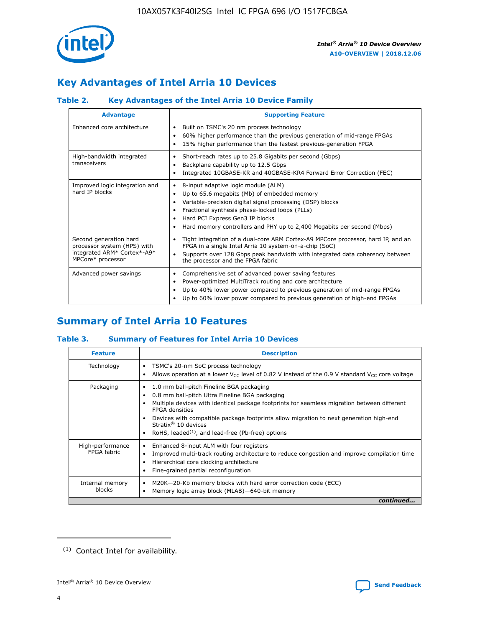

# **Key Advantages of Intel Arria 10 Devices**

## **Table 2. Key Advantages of the Intel Arria 10 Device Family**

| <b>Advantage</b>                                                                                          | <b>Supporting Feature</b>                                                                                                                                                                                                                                                                                                |
|-----------------------------------------------------------------------------------------------------------|--------------------------------------------------------------------------------------------------------------------------------------------------------------------------------------------------------------------------------------------------------------------------------------------------------------------------|
| Enhanced core architecture                                                                                | Built on TSMC's 20 nm process technology<br>٠<br>60% higher performance than the previous generation of mid-range FPGAs<br>٠<br>15% higher performance than the fastest previous-generation FPGA<br>٠                                                                                                                    |
| High-bandwidth integrated<br>transceivers                                                                 | Short-reach rates up to 25.8 Gigabits per second (Gbps)<br>٠<br>Backplane capability up to 12.5 Gbps<br>٠<br>Integrated 10GBASE-KR and 40GBASE-KR4 Forward Error Correction (FEC)<br>٠                                                                                                                                   |
| Improved logic integration and<br>hard IP blocks                                                          | 8-input adaptive logic module (ALM)<br>٠<br>Up to 65.6 megabits (Mb) of embedded memory<br>٠<br>Variable-precision digital signal processing (DSP) blocks<br>Fractional synthesis phase-locked loops (PLLs)<br>Hard PCI Express Gen3 IP blocks<br>Hard memory controllers and PHY up to 2,400 Megabits per second (Mbps) |
| Second generation hard<br>processor system (HPS) with<br>integrated ARM* Cortex*-A9*<br>MPCore* processor | Tight integration of a dual-core ARM Cortex-A9 MPCore processor, hard IP, and an<br>٠<br>FPGA in a single Intel Arria 10 system-on-a-chip (SoC)<br>Supports over 128 Gbps peak bandwidth with integrated data coherency between<br>$\bullet$<br>the processor and the FPGA fabric                                        |
| Advanced power savings                                                                                    | Comprehensive set of advanced power saving features<br>٠<br>Power-optimized MultiTrack routing and core architecture<br>٠<br>Up to 40% lower power compared to previous generation of mid-range FPGAs<br>Up to 60% lower power compared to previous generation of high-end FPGAs                                         |

# **Summary of Intel Arria 10 Features**

## **Table 3. Summary of Features for Intel Arria 10 Devices**

| <b>Feature</b>                  | <b>Description</b>                                                                                                                                                                                                                                                                                                                                                                                 |
|---------------------------------|----------------------------------------------------------------------------------------------------------------------------------------------------------------------------------------------------------------------------------------------------------------------------------------------------------------------------------------------------------------------------------------------------|
| Technology                      | TSMC's 20-nm SoC process technology<br>Allows operation at a lower $V_{\text{CC}}$ level of 0.82 V instead of the 0.9 V standard $V_{\text{CC}}$ core voltage                                                                                                                                                                                                                                      |
| Packaging                       | 1.0 mm ball-pitch Fineline BGA packaging<br>٠<br>0.8 mm ball-pitch Ultra Fineline BGA packaging<br>Multiple devices with identical package footprints for seamless migration between different<br><b>FPGA</b> densities<br>Devices with compatible package footprints allow migration to next generation high-end<br>Stratix $@10$ devices<br>RoHS, leaded $(1)$ , and lead-free (Pb-free) options |
| High-performance<br>FPGA fabric | Enhanced 8-input ALM with four registers<br>Improved multi-track routing architecture to reduce congestion and improve compilation time<br>Hierarchical core clocking architecture<br>Fine-grained partial reconfiguration                                                                                                                                                                         |
| Internal memory<br>blocks       | M20K-20-Kb memory blocks with hard error correction code (ECC)<br>Memory logic array block (MLAB)-640-bit memory                                                                                                                                                                                                                                                                                   |
|                                 | continued                                                                                                                                                                                                                                                                                                                                                                                          |



<sup>(1)</sup> Contact Intel for availability.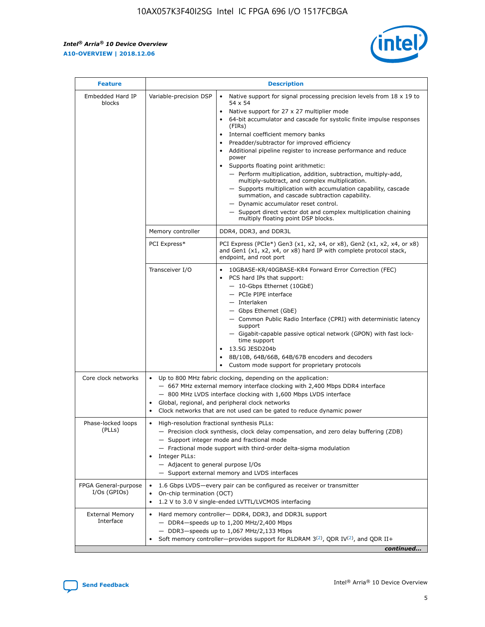$\mathsf{r}$ 



| <b>Feature</b>                         |                                                                                                                | <b>Description</b>                                                                                                                                                                                                                                                                                                                                                                                                                                                                                                                                                                                                                                                                                                                                                                                                                          |
|----------------------------------------|----------------------------------------------------------------------------------------------------------------|---------------------------------------------------------------------------------------------------------------------------------------------------------------------------------------------------------------------------------------------------------------------------------------------------------------------------------------------------------------------------------------------------------------------------------------------------------------------------------------------------------------------------------------------------------------------------------------------------------------------------------------------------------------------------------------------------------------------------------------------------------------------------------------------------------------------------------------------|
| Embedded Hard IP<br>blocks             | Variable-precision DSP                                                                                         | Native support for signal processing precision levels from $18 \times 19$ to<br>$\bullet$<br>54 x 54<br>Native support for 27 x 27 multiplier mode<br>64-bit accumulator and cascade for systolic finite impulse responses<br>(FIRs)<br>Internal coefficient memory banks<br>٠<br>Preadder/subtractor for improved efficiency<br>Additional pipeline register to increase performance and reduce<br>power<br>Supports floating point arithmetic:<br>- Perform multiplication, addition, subtraction, multiply-add,<br>multiply-subtract, and complex multiplication.<br>- Supports multiplication with accumulation capability, cascade<br>summation, and cascade subtraction capability.<br>- Dynamic accumulator reset control.<br>- Support direct vector dot and complex multiplication chaining<br>multiply floating point DSP blocks. |
|                                        | Memory controller                                                                                              | DDR4, DDR3, and DDR3L                                                                                                                                                                                                                                                                                                                                                                                                                                                                                                                                                                                                                                                                                                                                                                                                                       |
|                                        | PCI Express*                                                                                                   | PCI Express (PCIe*) Gen3 (x1, x2, x4, or x8), Gen2 (x1, x2, x4, or x8)<br>and Gen1 (x1, x2, x4, or x8) hard IP with complete protocol stack,<br>endpoint, and root port                                                                                                                                                                                                                                                                                                                                                                                                                                                                                                                                                                                                                                                                     |
|                                        | Transceiver I/O                                                                                                | 10GBASE-KR/40GBASE-KR4 Forward Error Correction (FEC)<br>PCS hard IPs that support:<br>- 10-Gbps Ethernet (10GbE)<br>- PCIe PIPE interface<br>- Interlaken<br>- Gbps Ethernet (GbE)<br>- Common Public Radio Interface (CPRI) with deterministic latency<br>support<br>- Gigabit-capable passive optical network (GPON) with fast lock-<br>time support<br>13.5G JESD204b<br>$\bullet$<br>8B/10B, 64B/66B, 64B/67B encoders and decoders<br>Custom mode support for proprietary protocols                                                                                                                                                                                                                                                                                                                                                   |
| Core clock networks                    | $\bullet$<br>$\bullet$                                                                                         | Up to 800 MHz fabric clocking, depending on the application:<br>- 667 MHz external memory interface clocking with 2,400 Mbps DDR4 interface<br>- 800 MHz LVDS interface clocking with 1,600 Mbps LVDS interface<br>Global, regional, and peripheral clock networks<br>Clock networks that are not used can be gated to reduce dynamic power                                                                                                                                                                                                                                                                                                                                                                                                                                                                                                 |
| Phase-locked loops<br>(PLLs)           | High-resolution fractional synthesis PLLs:<br>$\bullet$<br>Integer PLLs:<br>- Adjacent to general purpose I/Os | - Precision clock synthesis, clock delay compensation, and zero delay buffering (ZDB)<br>- Support integer mode and fractional mode<br>- Fractional mode support with third-order delta-sigma modulation<br>- Support external memory and LVDS interfaces                                                                                                                                                                                                                                                                                                                                                                                                                                                                                                                                                                                   |
| FPGA General-purpose<br>$I/Os$ (GPIOs) | On-chip termination (OCT)<br>$\bullet$                                                                         | 1.6 Gbps LVDS-every pair can be configured as receiver or transmitter<br>1.2 V to 3.0 V single-ended LVTTL/LVCMOS interfacing                                                                                                                                                                                                                                                                                                                                                                                                                                                                                                                                                                                                                                                                                                               |
| <b>External Memory</b><br>Interface    |                                                                                                                | Hard memory controller- DDR4, DDR3, and DDR3L support<br>$-$ DDR4 $-$ speeds up to 1,200 MHz/2,400 Mbps<br>- DDR3-speeds up to 1,067 MHz/2,133 Mbps<br>Soft memory controller—provides support for RLDRAM $3^{(2)}$ , QDR IV $(2^2)$ , and QDR II+<br>continued                                                                                                                                                                                                                                                                                                                                                                                                                                                                                                                                                                             |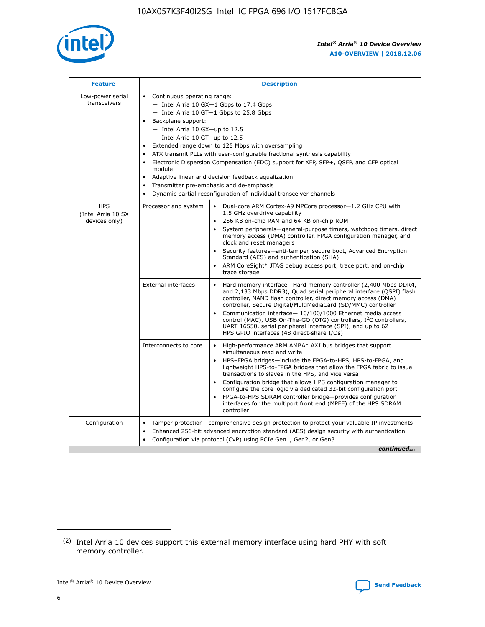

| <b>Feature</b>                                    | <b>Description</b>                                                                                                                                                                                                                                                                                                                                                                                                                                                                                                                                                                                                                                  |
|---------------------------------------------------|-----------------------------------------------------------------------------------------------------------------------------------------------------------------------------------------------------------------------------------------------------------------------------------------------------------------------------------------------------------------------------------------------------------------------------------------------------------------------------------------------------------------------------------------------------------------------------------------------------------------------------------------------------|
| Low-power serial<br>transceivers                  | • Continuous operating range:<br>- Intel Arria 10 GX-1 Gbps to 17.4 Gbps<br>- Intel Arria 10 GT-1 Gbps to 25.8 Gbps<br>Backplane support:<br>- Intel Arria 10 GX-up to 12.5<br>- Intel Arria 10 GT-up to 12.5<br>Extended range down to 125 Mbps with oversampling<br>ATX transmit PLLs with user-configurable fractional synthesis capability<br>Electronic Dispersion Compensation (EDC) support for XFP, SFP+, QSFP, and CFP optical<br>module<br>Adaptive linear and decision feedback equalization<br>$\bullet$<br>Transmitter pre-emphasis and de-emphasis<br>$\bullet$<br>Dynamic partial reconfiguration of individual transceiver channels |
| <b>HPS</b><br>(Intel Arria 10 SX<br>devices only) | Dual-core ARM Cortex-A9 MPCore processor-1.2 GHz CPU with<br>Processor and system<br>$\bullet$<br>1.5 GHz overdrive capability<br>256 KB on-chip RAM and 64 KB on-chip ROM<br>System peripherals—general-purpose timers, watchdog timers, direct<br>memory access (DMA) controller, FPGA configuration manager, and<br>clock and reset managers<br>Security features-anti-tamper, secure boot, Advanced Encryption<br>Standard (AES) and authentication (SHA)<br>ARM CoreSight* JTAG debug access port, trace port, and on-chip<br>trace storage                                                                                                    |
|                                                   | <b>External interfaces</b><br>Hard memory interface-Hard memory controller (2,400 Mbps DDR4,<br>$\bullet$<br>and 2,133 Mbps DDR3), Quad serial peripheral interface (QSPI) flash<br>controller, NAND flash controller, direct memory access (DMA)<br>controller, Secure Digital/MultiMediaCard (SD/MMC) controller<br>Communication interface-10/100/1000 Ethernet media access<br>control (MAC), USB On-The-GO (OTG) controllers, I <sup>2</sup> C controllers,<br>UART 16550, serial peripheral interface (SPI), and up to 62<br>HPS GPIO interfaces (48 direct-share I/Os)                                                                       |
|                                                   | High-performance ARM AMBA* AXI bus bridges that support<br>Interconnects to core<br>$\bullet$<br>simultaneous read and write<br>HPS-FPGA bridges-include the FPGA-to-HPS, HPS-to-FPGA, and<br>$\bullet$<br>lightweight HPS-to-FPGA bridges that allow the FPGA fabric to issue<br>transactions to slaves in the HPS, and vice versa<br>Configuration bridge that allows HPS configuration manager to<br>configure the core logic via dedicated 32-bit configuration port<br>FPGA-to-HPS SDRAM controller bridge-provides configuration<br>interfaces for the multiport front end (MPFE) of the HPS SDRAM<br>controller                              |
| Configuration                                     | Tamper protection—comprehensive design protection to protect your valuable IP investments<br>Enhanced 256-bit advanced encryption standard (AES) design security with authentication<br>٠<br>Configuration via protocol (CvP) using PCIe Gen1, Gen2, or Gen3<br>continued                                                                                                                                                                                                                                                                                                                                                                           |

<sup>(2)</sup> Intel Arria 10 devices support this external memory interface using hard PHY with soft memory controller.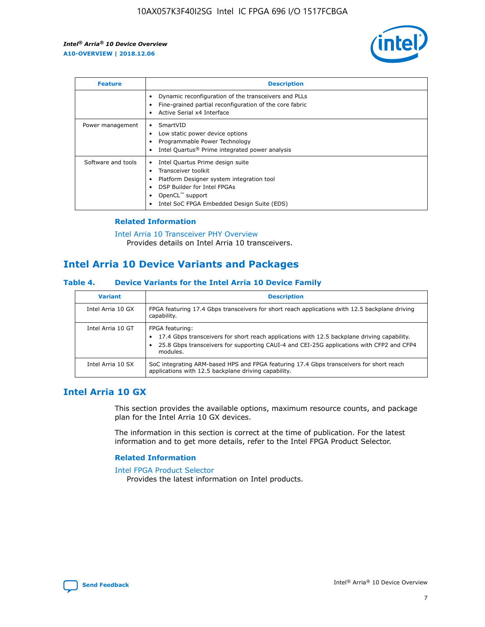

| <b>Feature</b>     | <b>Description</b>                                                                                                                                                                                               |
|--------------------|------------------------------------------------------------------------------------------------------------------------------------------------------------------------------------------------------------------|
|                    | Dynamic reconfiguration of the transceivers and PLLs<br>Fine-grained partial reconfiguration of the core fabric<br>Active Serial x4 Interface<br>$\bullet$                                                       |
| Power management   | SmartVID<br>Low static power device options<br>Programmable Power Technology<br>Intel Quartus <sup>®</sup> Prime integrated power analysis                                                                       |
| Software and tools | Intel Quartus Prime design suite<br>Transceiver toolkit<br>Platform Designer system integration tool<br>DSP Builder for Intel FPGAs<br>OpenCL <sup>™</sup> support<br>Intel SoC FPGA Embedded Design Suite (EDS) |

## **Related Information**

[Intel Arria 10 Transceiver PHY Overview](https://www.intel.com/content/www/us/en/programmable/documentation/nik1398707230472.html#nik1398706768037) Provides details on Intel Arria 10 transceivers.

## **Intel Arria 10 Device Variants and Packages**

#### **Table 4. Device Variants for the Intel Arria 10 Device Family**

| <b>Variant</b>    | <b>Description</b>                                                                                                                                                                                                     |
|-------------------|------------------------------------------------------------------------------------------------------------------------------------------------------------------------------------------------------------------------|
| Intel Arria 10 GX | FPGA featuring 17.4 Gbps transceivers for short reach applications with 12.5 backplane driving<br>capability.                                                                                                          |
| Intel Arria 10 GT | FPGA featuring:<br>17.4 Gbps transceivers for short reach applications with 12.5 backplane driving capability.<br>25.8 Gbps transceivers for supporting CAUI-4 and CEI-25G applications with CFP2 and CFP4<br>modules. |
| Intel Arria 10 SX | SoC integrating ARM-based HPS and FPGA featuring 17.4 Gbps transceivers for short reach<br>applications with 12.5 backplane driving capability.                                                                        |

## **Intel Arria 10 GX**

This section provides the available options, maximum resource counts, and package plan for the Intel Arria 10 GX devices.

The information in this section is correct at the time of publication. For the latest information and to get more details, refer to the Intel FPGA Product Selector.

#### **Related Information**

#### [Intel FPGA Product Selector](http://www.altera.com/products/selector/psg-selector.html) Provides the latest information on Intel products.

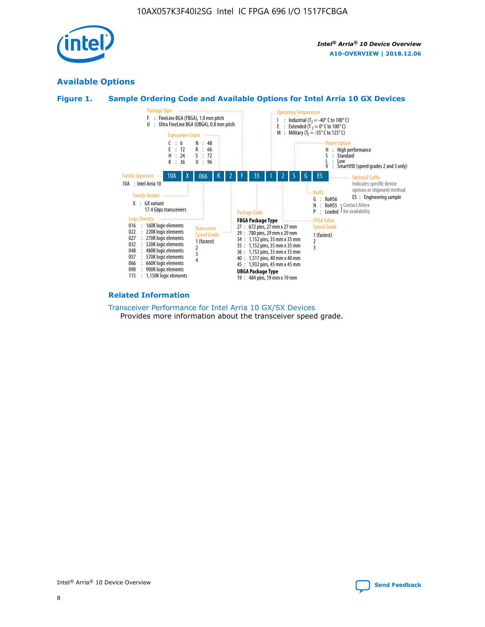

## **Available Options**





#### **Related Information**

[Transceiver Performance for Intel Arria 10 GX/SX Devices](https://www.intel.com/content/www/us/en/programmable/documentation/mcn1413182292568.html#mcn1413213965502) Provides more information about the transceiver speed grade.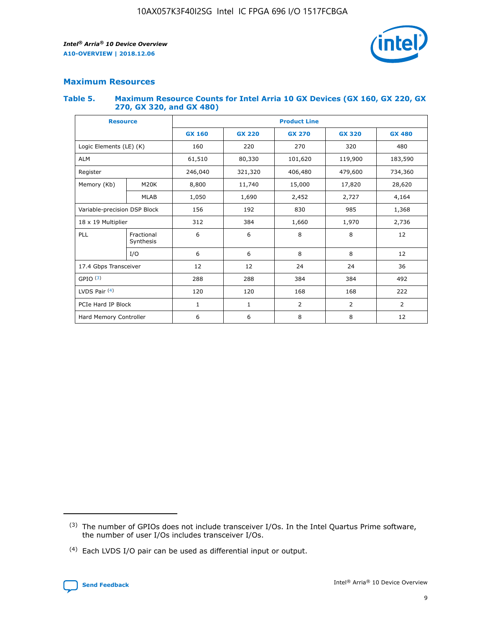

## **Maximum Resources**

#### **Table 5. Maximum Resource Counts for Intel Arria 10 GX Devices (GX 160, GX 220, GX 270, GX 320, and GX 480)**

| <b>Resource</b>              |                         | <b>Product Line</b> |                                                 |                |                |                |  |  |  |
|------------------------------|-------------------------|---------------------|-------------------------------------------------|----------------|----------------|----------------|--|--|--|
|                              |                         | <b>GX 160</b>       | <b>GX 220</b><br><b>GX 270</b><br><b>GX 320</b> |                |                | <b>GX 480</b>  |  |  |  |
| Logic Elements (LE) (K)      |                         | 160                 | 220                                             | 270            | 320            | 480            |  |  |  |
| <b>ALM</b>                   |                         | 61,510              | 80,330                                          | 101,620        | 119,900        | 183,590        |  |  |  |
| Register                     |                         | 246,040             | 406,480<br>321,320                              |                | 479,600        | 734,360        |  |  |  |
| Memory (Kb)                  | M <sub>20</sub> K       | 8,800               | 11,740                                          | 15,000         | 17,820         | 28,620         |  |  |  |
|                              | <b>MLAB</b>             | 1,050               | 1,690                                           | 2,452          | 2,727          | 4,164          |  |  |  |
| Variable-precision DSP Block |                         | 156                 | 192                                             | 830<br>985     |                | 1,368          |  |  |  |
| 18 x 19 Multiplier           |                         | 312                 | 384                                             | 1,970<br>1,660 |                | 2,736          |  |  |  |
| PLL                          | Fractional<br>Synthesis | 6                   | 6                                               | 8              | 8              | 12             |  |  |  |
|                              | I/O                     | 6                   | 6                                               | 8              | 8              | 12             |  |  |  |
| 17.4 Gbps Transceiver        |                         | 12                  | 12                                              | 24             | 24             | 36             |  |  |  |
| GPIO <sup>(3)</sup>          |                         | 288                 | 288                                             | 384            | 384            | 492            |  |  |  |
| LVDS Pair $(4)$              |                         | 120                 | 120                                             | 168            | 168            | 222            |  |  |  |
| PCIe Hard IP Block           |                         | 1                   | 1                                               | 2              | $\overline{2}$ | $\overline{2}$ |  |  |  |
| Hard Memory Controller       |                         | 6                   | 6                                               | 8              | 8              |                |  |  |  |

<sup>(4)</sup> Each LVDS I/O pair can be used as differential input or output.



<sup>(3)</sup> The number of GPIOs does not include transceiver I/Os. In the Intel Quartus Prime software, the number of user I/Os includes transceiver I/Os.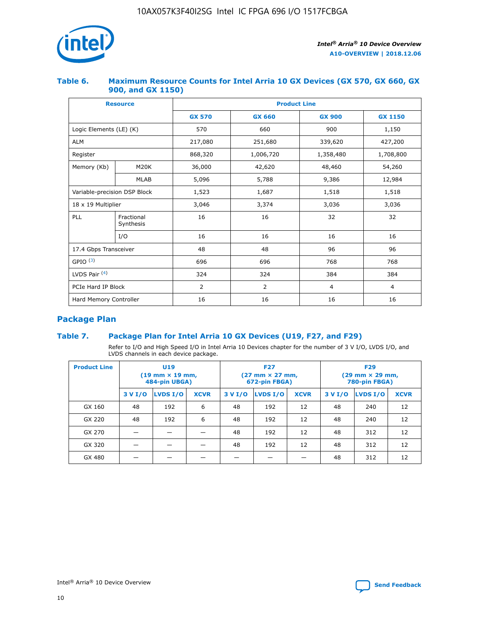

## **Table 6. Maximum Resource Counts for Intel Arria 10 GX Devices (GX 570, GX 660, GX 900, and GX 1150)**

|                              | <b>Resource</b>         | <b>Product Line</b> |                |                |                |  |  |  |  |
|------------------------------|-------------------------|---------------------|----------------|----------------|----------------|--|--|--|--|
|                              |                         | <b>GX 570</b>       | <b>GX 660</b>  | <b>GX 900</b>  | <b>GX 1150</b> |  |  |  |  |
| Logic Elements (LE) (K)      |                         | 570                 | 660            | 900            | 1,150          |  |  |  |  |
| <b>ALM</b>                   |                         | 217,080             | 251,680        | 339,620        | 427,200        |  |  |  |  |
| Register                     |                         | 868,320             | 1,006,720      | 1,358,480      | 1,708,800      |  |  |  |  |
| Memory (Kb)                  | <b>M20K</b>             | 36,000              | 42,620         | 48,460         | 54,260         |  |  |  |  |
|                              | <b>MLAB</b>             | 5,096               | 5,788          | 9,386          | 12,984         |  |  |  |  |
| Variable-precision DSP Block |                         | 1,523               | 1,687          | 1,518          | 1,518          |  |  |  |  |
| $18 \times 19$ Multiplier    |                         | 3,046               | 3,374<br>3,036 |                | 3,036          |  |  |  |  |
| PLL                          | Fractional<br>Synthesis | 16                  | 16             | 32             | 32             |  |  |  |  |
|                              | I/O                     | 16                  | 16             | 16             | 16             |  |  |  |  |
| 17.4 Gbps Transceiver        |                         | 48                  | 96<br>48       |                | 96             |  |  |  |  |
| GPIO <sup>(3)</sup>          |                         | 696                 | 696            | 768            | 768            |  |  |  |  |
| LVDS Pair $(4)$              |                         | 324                 | 324            | 384            | 384            |  |  |  |  |
| PCIe Hard IP Block           |                         | $\overline{2}$      | $\overline{2}$ | $\overline{4}$ | $\overline{4}$ |  |  |  |  |
| Hard Memory Controller       |                         | 16                  | 16             | 16             | 16             |  |  |  |  |

## **Package Plan**

## **Table 7. Package Plan for Intel Arria 10 GX Devices (U19, F27, and F29)**

Refer to I/O and High Speed I/O in Intel Arria 10 Devices chapter for the number of 3 V I/O, LVDS I/O, and LVDS channels in each device package.

| <b>Product Line</b> | <b>U19</b><br>$(19 \text{ mm} \times 19 \text{ mm})$<br>484-pin UBGA) |          |             |         | <b>F27</b><br>(27 mm × 27 mm,<br>672-pin FBGA) |             | <b>F29</b><br>(29 mm × 29 mm,<br>780-pin FBGA) |          |             |  |
|---------------------|-----------------------------------------------------------------------|----------|-------------|---------|------------------------------------------------|-------------|------------------------------------------------|----------|-------------|--|
|                     | 3 V I/O                                                               | LVDS I/O | <b>XCVR</b> | 3 V I/O | LVDS I/O                                       | <b>XCVR</b> | 3 V I/O                                        | LVDS I/O | <b>XCVR</b> |  |
| GX 160              | 48                                                                    | 192      | 6           | 48      | 192                                            | 12          | 48                                             | 240      | 12          |  |
| GX 220              | 48                                                                    | 192      | 6           | 48      | 192                                            | 12          | 48                                             | 240      | 12          |  |
| GX 270              |                                                                       |          |             | 48      | 192                                            | 12          | 48                                             | 312      | 12          |  |
| GX 320              |                                                                       |          |             | 48      | 192                                            | 12          | 48                                             | 312      | 12          |  |
| GX 480              |                                                                       |          |             |         |                                                |             | 48                                             | 312      | 12          |  |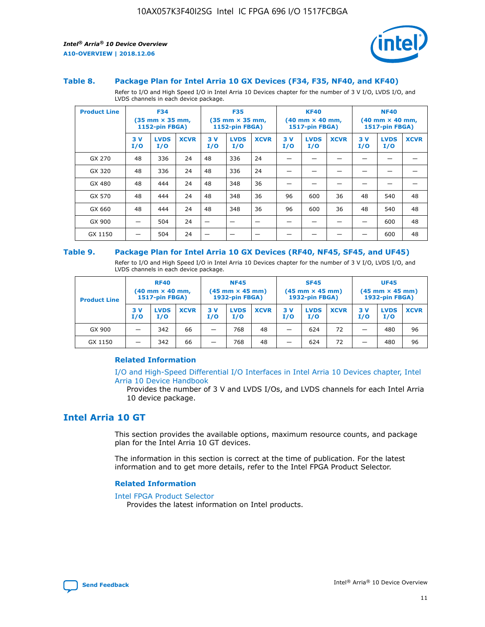

#### **Table 8. Package Plan for Intel Arria 10 GX Devices (F34, F35, NF40, and KF40)**

Refer to I/O and High Speed I/O in Intel Arria 10 Devices chapter for the number of 3 V I/O, LVDS I/O, and LVDS channels in each device package.

| <b>Product Line</b> | <b>F34</b><br>$(35 \text{ mm} \times 35 \text{ mm})$<br>1152-pin FBGA) |                    | <b>F35</b><br>$(35 \text{ mm} \times 35 \text{ mm})$<br><b>1152-pin FBGA)</b> |           | <b>KF40</b><br>$(40 \text{ mm} \times 40 \text{ mm})$<br>1517-pin FBGA) |             |            | <b>NF40</b><br>$(40 \text{ mm} \times 40 \text{ mm})$<br><b>1517-pin FBGA)</b> |             |            |                    |             |
|---------------------|------------------------------------------------------------------------|--------------------|-------------------------------------------------------------------------------|-----------|-------------------------------------------------------------------------|-------------|------------|--------------------------------------------------------------------------------|-------------|------------|--------------------|-------------|
|                     | 3V<br>I/O                                                              | <b>LVDS</b><br>I/O | <b>XCVR</b>                                                                   | 3V<br>I/O | <b>LVDS</b><br>I/O                                                      | <b>XCVR</b> | 3 V<br>I/O | <b>LVDS</b><br>I/O                                                             | <b>XCVR</b> | 3 V<br>I/O | <b>LVDS</b><br>I/O | <b>XCVR</b> |
| GX 270              | 48                                                                     | 336                | 24                                                                            | 48        | 336                                                                     | 24          |            |                                                                                |             |            |                    |             |
| GX 320              | 48                                                                     | 336                | 24                                                                            | 48        | 336                                                                     | 24          |            |                                                                                |             |            |                    |             |
| GX 480              | 48                                                                     | 444                | 24                                                                            | 48        | 348                                                                     | 36          |            |                                                                                |             |            |                    |             |
| GX 570              | 48                                                                     | 444                | 24                                                                            | 48        | 348                                                                     | 36          | 96         | 600                                                                            | 36          | 48         | 540                | 48          |
| GX 660              | 48                                                                     | 444                | 24                                                                            | 48        | 348                                                                     | 36          | 96         | 600                                                                            | 36          | 48         | 540                | 48          |
| GX 900              |                                                                        | 504                | 24                                                                            | -         |                                                                         |             |            |                                                                                |             |            | 600                | 48          |
| GX 1150             |                                                                        | 504                | 24                                                                            |           |                                                                         |             |            |                                                                                |             |            | 600                | 48          |

#### **Table 9. Package Plan for Intel Arria 10 GX Devices (RF40, NF45, SF45, and UF45)**

Refer to I/O and High Speed I/O in Intel Arria 10 Devices chapter for the number of 3 V I/O, LVDS I/O, and LVDS channels in each device package.

| <b>Product Line</b> | <b>RF40</b><br>$(40$ mm $\times$ 40 mm,<br>1517-pin FBGA) |                    |             | <b>NF45</b><br>$(45 \text{ mm} \times 45 \text{ mm})$<br><b>1932-pin FBGA)</b> |                    |             | <b>SF45</b><br>$(45 \text{ mm} \times 45 \text{ mm})$<br><b>1932-pin FBGA)</b> |                    |             | <b>UF45</b><br>$(45 \text{ mm} \times 45 \text{ mm})$<br><b>1932-pin FBGA)</b> |                    |             |
|---------------------|-----------------------------------------------------------|--------------------|-------------|--------------------------------------------------------------------------------|--------------------|-------------|--------------------------------------------------------------------------------|--------------------|-------------|--------------------------------------------------------------------------------|--------------------|-------------|
|                     | 3V<br>I/O                                                 | <b>LVDS</b><br>I/O | <b>XCVR</b> | 3 V<br>I/O                                                                     | <b>LVDS</b><br>I/O | <b>XCVR</b> | 3 V<br>I/O                                                                     | <b>LVDS</b><br>I/O | <b>XCVR</b> | 3V<br>I/O                                                                      | <b>LVDS</b><br>I/O | <b>XCVR</b> |
| GX 900              |                                                           | 342                | 66          | _                                                                              | 768                | 48          |                                                                                | 624                | 72          |                                                                                | 480                | 96          |
| GX 1150             |                                                           | 342                | 66          | _                                                                              | 768                | 48          |                                                                                | 624                | 72          |                                                                                | 480                | 96          |

#### **Related Information**

[I/O and High-Speed Differential I/O Interfaces in Intel Arria 10 Devices chapter, Intel](https://www.intel.com/content/www/us/en/programmable/documentation/sam1403482614086.html#sam1403482030321) [Arria 10 Device Handbook](https://www.intel.com/content/www/us/en/programmable/documentation/sam1403482614086.html#sam1403482030321)

Provides the number of 3 V and LVDS I/Os, and LVDS channels for each Intel Arria 10 device package.

## **Intel Arria 10 GT**

This section provides the available options, maximum resource counts, and package plan for the Intel Arria 10 GT devices.

The information in this section is correct at the time of publication. For the latest information and to get more details, refer to the Intel FPGA Product Selector.

#### **Related Information**

#### [Intel FPGA Product Selector](http://www.altera.com/products/selector/psg-selector.html)

Provides the latest information on Intel products.

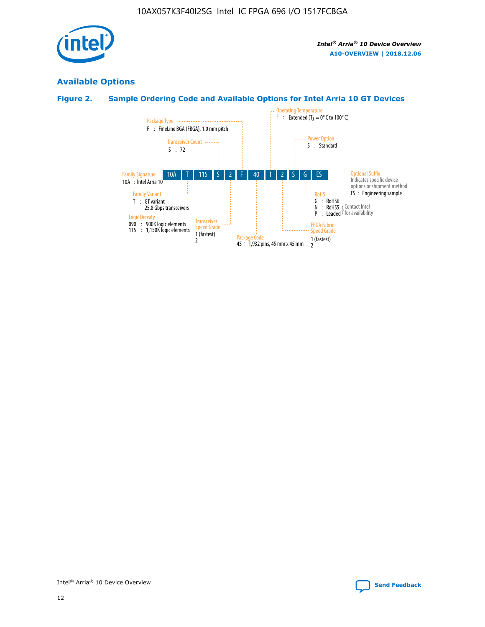

## **Available Options**

## **Figure 2. Sample Ordering Code and Available Options for Intel Arria 10 GT Devices**

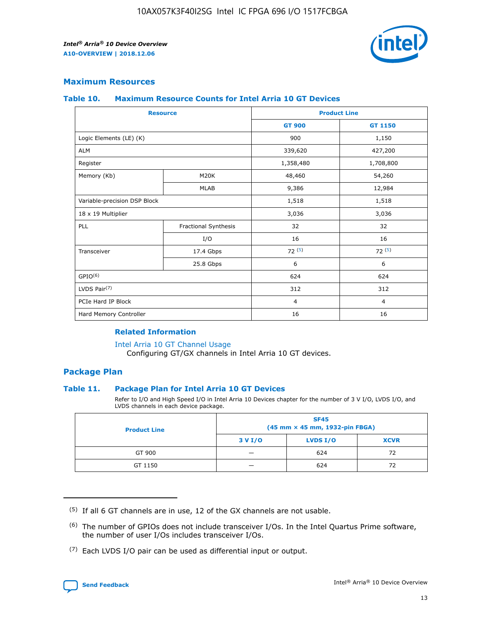

## **Maximum Resources**

#### **Table 10. Maximum Resource Counts for Intel Arria 10 GT Devices**

|                              | <b>Resource</b>      |                                                                                                                       |                |  |
|------------------------------|----------------------|-----------------------------------------------------------------------------------------------------------------------|----------------|--|
|                              |                      | <b>GT 900</b>                                                                                                         | GT 1150        |  |
| Logic Elements (LE) (K)      |                      | 900                                                                                                                   | 1,150          |  |
| <b>ALM</b>                   |                      | 339,620                                                                                                               | 427,200        |  |
| Register                     |                      | 1,358,480                                                                                                             | 1,708,800      |  |
| Memory (Kb)                  | M20K                 | 48,460                                                                                                                | 54,260         |  |
|                              | <b>MLAB</b>          | <b>Product Line</b><br>9,386<br>1,518<br>3,036<br>32<br>16<br>I/O<br>72(5)<br>6<br>624<br>312<br>$\overline{4}$<br>16 | 12,984         |  |
| Variable-precision DSP Block |                      |                                                                                                                       | 1,518          |  |
| 18 x 19 Multiplier           |                      |                                                                                                                       | 3,036          |  |
| PLL                          | Fractional Synthesis |                                                                                                                       | 32             |  |
|                              |                      |                                                                                                                       | 16             |  |
| Transceiver                  | 17.4 Gbps            |                                                                                                                       | 72(5)          |  |
|                              | 25.8 Gbps            |                                                                                                                       | 6              |  |
| GPIO <sup>(6)</sup>          |                      |                                                                                                                       | 624            |  |
| LVDS Pair $(7)$              |                      |                                                                                                                       | 312            |  |
| PCIe Hard IP Block           |                      |                                                                                                                       | $\overline{4}$ |  |
| Hard Memory Controller       |                      |                                                                                                                       | 16             |  |

#### **Related Information**

#### [Intel Arria 10 GT Channel Usage](https://www.intel.com/content/www/us/en/programmable/documentation/nik1398707230472.html#nik1398707008178)

Configuring GT/GX channels in Intel Arria 10 GT devices.

## **Package Plan**

#### **Table 11. Package Plan for Intel Arria 10 GT Devices**

Refer to I/O and High Speed I/O in Intel Arria 10 Devices chapter for the number of 3 V I/O, LVDS I/O, and LVDS channels in each device package.

| <b>Product Line</b> | <b>SF45</b><br>(45 mm × 45 mm, 1932-pin FBGA) |                 |             |  |  |  |
|---------------------|-----------------------------------------------|-----------------|-------------|--|--|--|
|                     | 3 V I/O                                       | <b>LVDS I/O</b> | <b>XCVR</b> |  |  |  |
| GT 900              |                                               | 624             | 72          |  |  |  |
| GT 1150             |                                               | 624             | 72          |  |  |  |

<sup>(7)</sup> Each LVDS I/O pair can be used as differential input or output.



 $(5)$  If all 6 GT channels are in use, 12 of the GX channels are not usable.

<sup>(6)</sup> The number of GPIOs does not include transceiver I/Os. In the Intel Quartus Prime software, the number of user I/Os includes transceiver I/Os.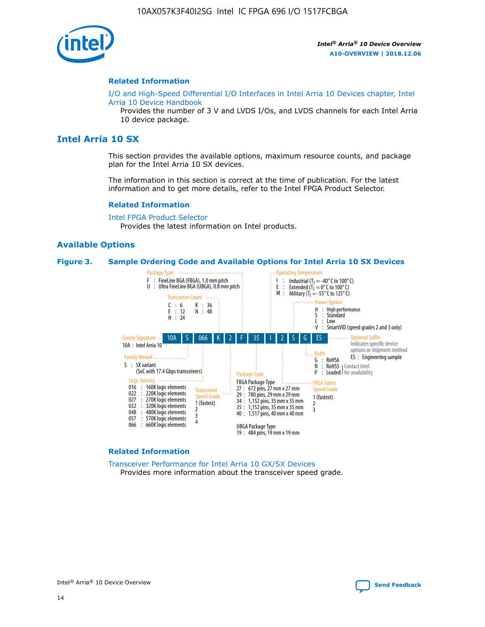

#### **Related Information**

[I/O and High-Speed Differential I/O Interfaces in Intel Arria 10 Devices chapter, Intel](https://www.intel.com/content/www/us/en/programmable/documentation/sam1403482614086.html#sam1403482030321) [Arria 10 Device Handbook](https://www.intel.com/content/www/us/en/programmable/documentation/sam1403482614086.html#sam1403482030321)

Provides the number of 3 V and LVDS I/Os, and LVDS channels for each Intel Arria 10 device package.

## **Intel Arria 10 SX**

This section provides the available options, maximum resource counts, and package plan for the Intel Arria 10 SX devices.

The information in this section is correct at the time of publication. For the latest information and to get more details, refer to the Intel FPGA Product Selector.

#### **Related Information**

[Intel FPGA Product Selector](http://www.altera.com/products/selector/psg-selector.html) Provides the latest information on Intel products.

#### **Available Options**

#### **Figure 3. Sample Ordering Code and Available Options for Intel Arria 10 SX Devices**



#### **Related Information**

[Transceiver Performance for Intel Arria 10 GX/SX Devices](https://www.intel.com/content/www/us/en/programmable/documentation/mcn1413182292568.html#mcn1413213965502) Provides more information about the transceiver speed grade.

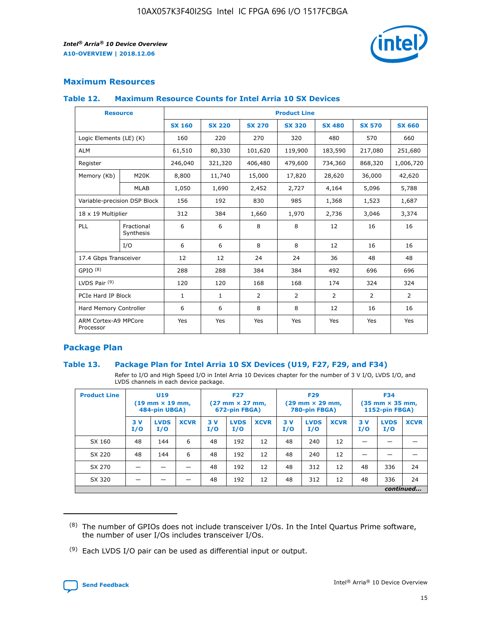

## **Maximum Resources**

#### **Table 12. Maximum Resource Counts for Intel Arria 10 SX Devices**

|                                   | <b>Resource</b>         | <b>Product Line</b> |               |                |                |                |                |                |  |  |  |
|-----------------------------------|-------------------------|---------------------|---------------|----------------|----------------|----------------|----------------|----------------|--|--|--|
|                                   |                         | <b>SX 160</b>       | <b>SX 220</b> | <b>SX 270</b>  | <b>SX 320</b>  | <b>SX 480</b>  | <b>SX 570</b>  | <b>SX 660</b>  |  |  |  |
| Logic Elements (LE) (K)           |                         | 160                 | 220           | 270            | 320            | 480            | 570            | 660            |  |  |  |
| <b>ALM</b>                        |                         | 61,510              | 80,330        | 101,620        | 119,900        | 183,590        | 217,080        | 251,680        |  |  |  |
| Register                          |                         | 246,040             | 321,320       | 406,480        | 479,600        | 734,360        | 868,320        | 1,006,720      |  |  |  |
| Memory (Kb)                       | M <sub>20</sub> K       | 8,800               | 11,740        | 15,000         | 17,820         | 28,620         | 36,000         | 42,620         |  |  |  |
|                                   | <b>MLAB</b>             | 1,050               | 1,690         | 2,452          | 2,727          | 4,164          | 5,096          | 5,788          |  |  |  |
| Variable-precision DSP Block      |                         | 156                 | 192           | 830            | 985            | 1,368          | 1,523          | 1,687          |  |  |  |
| 18 x 19 Multiplier                |                         | 312                 | 384           | 1,660          | 1,970          | 2,736          | 3,046          | 3,374          |  |  |  |
| <b>PLL</b>                        | Fractional<br>Synthesis | 6                   | 6             | 8              | 8              | 12             | 16             | 16             |  |  |  |
|                                   | I/O                     | 6                   | 6             | 8              | 8              | 12             | 16             | 16             |  |  |  |
| 17.4 Gbps Transceiver             |                         | 12                  | 12            | 24             | 24             | 36             | 48             | 48             |  |  |  |
| GPIO <sup>(8)</sup>               |                         | 288                 | 288           | 384            | 384            | 492            | 696            | 696            |  |  |  |
| LVDS Pair $(9)$                   |                         | 120                 | 120           | 168            | 168            | 174            | 324            | 324            |  |  |  |
| PCIe Hard IP Block                |                         | $\mathbf{1}$        | $\mathbf{1}$  | $\overline{2}$ | $\overline{2}$ | $\overline{2}$ | $\overline{2}$ | $\overline{2}$ |  |  |  |
| Hard Memory Controller            |                         | 6                   | 6             | 8              | 8              | 12             | 16             | 16             |  |  |  |
| ARM Cortex-A9 MPCore<br>Processor |                         | Yes                 | Yes           | Yes            | Yes            | Yes            | Yes            | Yes            |  |  |  |

## **Package Plan**

#### **Table 13. Package Plan for Intel Arria 10 SX Devices (U19, F27, F29, and F34)**

Refer to I/O and High Speed I/O in Intel Arria 10 Devices chapter for the number of 3 V I/O, LVDS I/O, and LVDS channels in each device package.

| <b>Product Line</b> | U19<br>$(19 \text{ mm} \times 19 \text{ mm})$<br>484-pin UBGA) |                    |             | <b>F27</b><br>$(27 \text{ mm} \times 27 \text{ mm})$ .<br>672-pin FBGA) |                    | <b>F29</b><br>$(29 \text{ mm} \times 29 \text{ mm})$ .<br>780-pin FBGA) |            |                    | <b>F34</b><br>$(35 \text{ mm} \times 35 \text{ mm})$<br><b>1152-pin FBGA)</b> |           |                    |             |
|---------------------|----------------------------------------------------------------|--------------------|-------------|-------------------------------------------------------------------------|--------------------|-------------------------------------------------------------------------|------------|--------------------|-------------------------------------------------------------------------------|-----------|--------------------|-------------|
|                     | 3V<br>I/O                                                      | <b>LVDS</b><br>I/O | <b>XCVR</b> | 3V<br>I/O                                                               | <b>LVDS</b><br>I/O | <b>XCVR</b>                                                             | 3 V<br>I/O | <b>LVDS</b><br>I/O | <b>XCVR</b>                                                                   | 3V<br>I/O | <b>LVDS</b><br>I/O | <b>XCVR</b> |
| SX 160              | 48                                                             | 144                | 6           | 48                                                                      | 192                | 12                                                                      | 48         | 240                | 12                                                                            |           |                    |             |
| SX 220              | 48                                                             | 144                | 6           | 48                                                                      | 192                | 12                                                                      | 48         | 240                | 12                                                                            |           |                    |             |
| SX 270              |                                                                |                    |             | 48                                                                      | 192                | 12                                                                      | 48         | 312                | 12                                                                            | 48        | 336                | 24          |
| SX 320              |                                                                |                    |             | 48                                                                      | 192                | 12                                                                      | 48         | 312                | 12                                                                            | 48        | 336                | 24          |
|                     | continued                                                      |                    |             |                                                                         |                    |                                                                         |            |                    |                                                                               |           |                    |             |

 $(8)$  The number of GPIOs does not include transceiver I/Os. In the Intel Quartus Prime software, the number of user I/Os includes transceiver I/Os.

 $(9)$  Each LVDS I/O pair can be used as differential input or output.

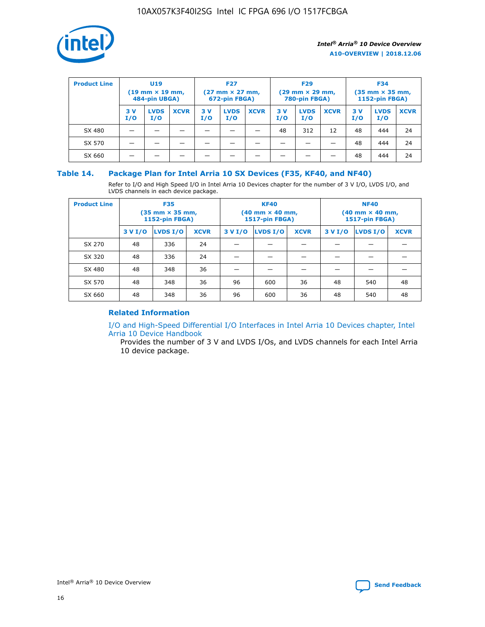

| <b>Product Line</b> | U <sub>19</sub><br>$(19 \text{ mm} \times 19 \text{ mm})$<br>484-pin UBGA) |                    | <b>F27</b><br>$(27 \text{ mm} \times 27 \text{ mm})$<br>672-pin FBGA) |           |                    | <b>F29</b><br>$(29 \text{ mm} \times 29 \text{ mm})$<br>780-pin FBGA) |           |                    | <b>F34</b><br>$(35$ mm $\times$ 35 mm,<br><b>1152-pin FBGA)</b> |           |                    |             |
|---------------------|----------------------------------------------------------------------------|--------------------|-----------------------------------------------------------------------|-----------|--------------------|-----------------------------------------------------------------------|-----------|--------------------|-----------------------------------------------------------------|-----------|--------------------|-------------|
|                     | 3V<br>I/O                                                                  | <b>LVDS</b><br>I/O | <b>XCVR</b>                                                           | 3V<br>I/O | <b>LVDS</b><br>I/O | <b>XCVR</b>                                                           | 3V<br>I/O | <b>LVDS</b><br>I/O | <b>XCVR</b>                                                     | 3V<br>I/O | <b>LVDS</b><br>I/O | <b>XCVR</b> |
| SX 480              |                                                                            |                    |                                                                       |           |                    |                                                                       | 48        | 312                | 12                                                              | 48        | 444                | 24          |
| SX 570              |                                                                            |                    |                                                                       |           |                    |                                                                       |           |                    |                                                                 | 48        | 444                | 24          |
| SX 660              |                                                                            |                    |                                                                       |           |                    |                                                                       |           |                    |                                                                 | 48        | 444                | 24          |

## **Table 14. Package Plan for Intel Arria 10 SX Devices (F35, KF40, and NF40)**

Refer to I/O and High Speed I/O in Intel Arria 10 Devices chapter for the number of 3 V I/O, LVDS I/O, and LVDS channels in each device package.

| <b>Product Line</b> | <b>F35</b><br>$(35 \text{ mm} \times 35 \text{ mm})$<br><b>1152-pin FBGA)</b> |          |             |                                           | <b>KF40</b><br>(40 mm × 40 mm,<br>1517-pin FBGA) |    | <b>NF40</b><br>$(40 \text{ mm} \times 40 \text{ mm})$<br>1517-pin FBGA) |          |             |  |
|---------------------|-------------------------------------------------------------------------------|----------|-------------|-------------------------------------------|--------------------------------------------------|----|-------------------------------------------------------------------------|----------|-------------|--|
|                     | 3 V I/O                                                                       | LVDS I/O | <b>XCVR</b> | <b>LVDS I/O</b><br><b>XCVR</b><br>3 V I/O |                                                  |    | 3 V I/O                                                                 | LVDS I/O | <b>XCVR</b> |  |
| SX 270              | 48                                                                            | 336      | 24          |                                           |                                                  |    |                                                                         |          |             |  |
| SX 320              | 48                                                                            | 336      | 24          |                                           |                                                  |    |                                                                         |          |             |  |
| SX 480              | 48                                                                            | 348      | 36          |                                           |                                                  |    |                                                                         |          |             |  |
| SX 570              | 48                                                                            | 348      | 36          | 96                                        | 600                                              | 36 | 48                                                                      | 540      | 48          |  |
| SX 660              | 48                                                                            | 348      | 36          | 96                                        | 600                                              | 36 | 48                                                                      | 540      | 48          |  |

## **Related Information**

[I/O and High-Speed Differential I/O Interfaces in Intel Arria 10 Devices chapter, Intel](https://www.intel.com/content/www/us/en/programmable/documentation/sam1403482614086.html#sam1403482030321) [Arria 10 Device Handbook](https://www.intel.com/content/www/us/en/programmable/documentation/sam1403482614086.html#sam1403482030321)

Provides the number of 3 V and LVDS I/Os, and LVDS channels for each Intel Arria 10 device package.

Intel<sup>®</sup> Arria<sup>®</sup> 10 Device Overview **[Send Feedback](mailto:FPGAtechdocfeedback@intel.com?subject=Feedback%20on%20Intel%20Arria%2010%20Device%20Overview%20(A10-OVERVIEW%202018.12.06)&body=We%20appreciate%20your%20feedback.%20In%20your%20comments,%20also%20specify%20the%20page%20number%20or%20paragraph.%20Thank%20you.)** Send Feedback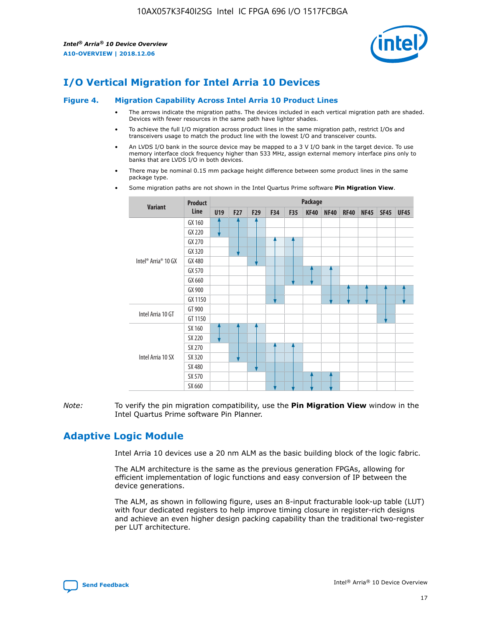

# **I/O Vertical Migration for Intel Arria 10 Devices**

#### **Figure 4. Migration Capability Across Intel Arria 10 Product Lines**

- The arrows indicate the migration paths. The devices included in each vertical migration path are shaded. Devices with fewer resources in the same path have lighter shades.
- To achieve the full I/O migration across product lines in the same migration path, restrict I/Os and transceivers usage to match the product line with the lowest I/O and transceiver counts.
- An LVDS I/O bank in the source device may be mapped to a 3 V I/O bank in the target device. To use memory interface clock frequency higher than 533 MHz, assign external memory interface pins only to banks that are LVDS I/O in both devices.
- There may be nominal 0.15 mm package height difference between some product lines in the same package type.
	- **Variant Product Line Package U19 F27 F29 F34 F35 KF40 NF40 RF40 NF45 SF45 UF45** Intel® Arria® 10 GX GX 160 GX 220 GX 270 GX 320 GX 480 GX 570 GX 660 GX 900 GX 1150 Intel Arria 10 GT GT 900 GT 1150 Intel Arria 10 SX SX 160 SX 220 SX 270 SX 320 SX 480 SX 570 SX 660
- Some migration paths are not shown in the Intel Quartus Prime software **Pin Migration View**.

*Note:* To verify the pin migration compatibility, use the **Pin Migration View** window in the Intel Quartus Prime software Pin Planner.

# **Adaptive Logic Module**

Intel Arria 10 devices use a 20 nm ALM as the basic building block of the logic fabric.

The ALM architecture is the same as the previous generation FPGAs, allowing for efficient implementation of logic functions and easy conversion of IP between the device generations.

The ALM, as shown in following figure, uses an 8-input fracturable look-up table (LUT) with four dedicated registers to help improve timing closure in register-rich designs and achieve an even higher design packing capability than the traditional two-register per LUT architecture.

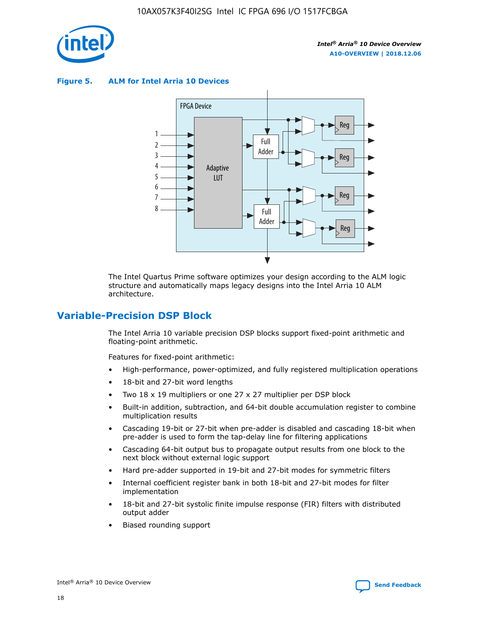

**Figure 5. ALM for Intel Arria 10 Devices**



The Intel Quartus Prime software optimizes your design according to the ALM logic structure and automatically maps legacy designs into the Intel Arria 10 ALM architecture.

## **Variable-Precision DSP Block**

The Intel Arria 10 variable precision DSP blocks support fixed-point arithmetic and floating-point arithmetic.

Features for fixed-point arithmetic:

- High-performance, power-optimized, and fully registered multiplication operations
- 18-bit and 27-bit word lengths
- Two 18 x 19 multipliers or one 27 x 27 multiplier per DSP block
- Built-in addition, subtraction, and 64-bit double accumulation register to combine multiplication results
- Cascading 19-bit or 27-bit when pre-adder is disabled and cascading 18-bit when pre-adder is used to form the tap-delay line for filtering applications
- Cascading 64-bit output bus to propagate output results from one block to the next block without external logic support
- Hard pre-adder supported in 19-bit and 27-bit modes for symmetric filters
- Internal coefficient register bank in both 18-bit and 27-bit modes for filter implementation
- 18-bit and 27-bit systolic finite impulse response (FIR) filters with distributed output adder
- Biased rounding support

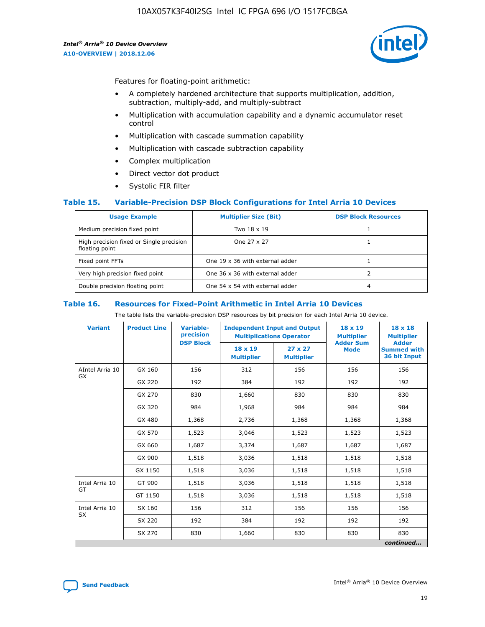

Features for floating-point arithmetic:

- A completely hardened architecture that supports multiplication, addition, subtraction, multiply-add, and multiply-subtract
- Multiplication with accumulation capability and a dynamic accumulator reset control
- Multiplication with cascade summation capability
- Multiplication with cascade subtraction capability
- Complex multiplication
- Direct vector dot product
- Systolic FIR filter

#### **Table 15. Variable-Precision DSP Block Configurations for Intel Arria 10 Devices**

| <b>Usage Example</b>                                       | <b>Multiplier Size (Bit)</b>    | <b>DSP Block Resources</b> |
|------------------------------------------------------------|---------------------------------|----------------------------|
| Medium precision fixed point                               | Two 18 x 19                     |                            |
| High precision fixed or Single precision<br>floating point | One 27 x 27                     |                            |
| Fixed point FFTs                                           | One 19 x 36 with external adder |                            |
| Very high precision fixed point                            | One 36 x 36 with external adder |                            |
| Double precision floating point                            | One 54 x 54 with external adder | 4                          |

#### **Table 16. Resources for Fixed-Point Arithmetic in Intel Arria 10 Devices**

The table lists the variable-precision DSP resources by bit precision for each Intel Arria 10 device.

| <b>Variant</b>        | <b>Product Line</b> | <b>Variable-</b><br>precision<br><b>DSP Block</b> | <b>Independent Input and Output</b><br><b>Multiplications Operator</b> |                                     | 18 x 19<br><b>Multiplier</b><br><b>Adder Sum</b> | $18 \times 18$<br><b>Multiplier</b><br><b>Adder</b> |
|-----------------------|---------------------|---------------------------------------------------|------------------------------------------------------------------------|-------------------------------------|--------------------------------------------------|-----------------------------------------------------|
|                       |                     |                                                   | 18 x 19<br><b>Multiplier</b>                                           | $27 \times 27$<br><b>Multiplier</b> | <b>Mode</b>                                      | <b>Summed with</b><br>36 bit Input                  |
| AIntel Arria 10<br>GX | GX 160              | 156                                               | 312                                                                    | 156                                 | 156                                              | 156                                                 |
|                       | GX 220              | 192                                               | 384                                                                    | 192                                 | 192                                              | 192                                                 |
|                       | GX 270              | 830                                               | 1,660                                                                  | 830                                 | 830                                              | 830                                                 |
|                       | GX 320              | 984                                               | 1,968                                                                  | 984                                 | 984                                              | 984                                                 |
|                       | GX 480              | 1,368                                             | 2,736                                                                  | 1,368                               | 1,368                                            | 1,368                                               |
|                       | GX 570              | 1,523                                             | 3,046                                                                  | 1,523                               | 1,523                                            | 1,523                                               |
|                       | GX 660              | 1,687                                             | 3,374                                                                  | 1,687                               | 1,687                                            | 1,687                                               |
|                       | GX 900              | 1,518                                             | 3,036                                                                  | 1,518                               | 1,518                                            | 1,518                                               |
|                       | GX 1150             | 1,518                                             | 3,036                                                                  | 1,518                               | 1,518                                            | 1,518                                               |
| Intel Arria 10        | GT 900              | 1,518                                             | 3,036                                                                  | 1,518                               | 1,518                                            | 1,518                                               |
| GT                    | GT 1150             | 1,518                                             | 3,036                                                                  | 1,518                               | 1,518                                            | 1,518                                               |
| Intel Arria 10        | SX 160              | 156                                               | 312                                                                    | 156                                 | 156                                              | 156                                                 |
| <b>SX</b>             | SX 220              | 192                                               | 384                                                                    | 192                                 | 192                                              | 192                                                 |
|                       | SX 270              | 830                                               | 1,660                                                                  | 830                                 | 830                                              | 830                                                 |
|                       |                     |                                                   |                                                                        |                                     |                                                  | continued                                           |

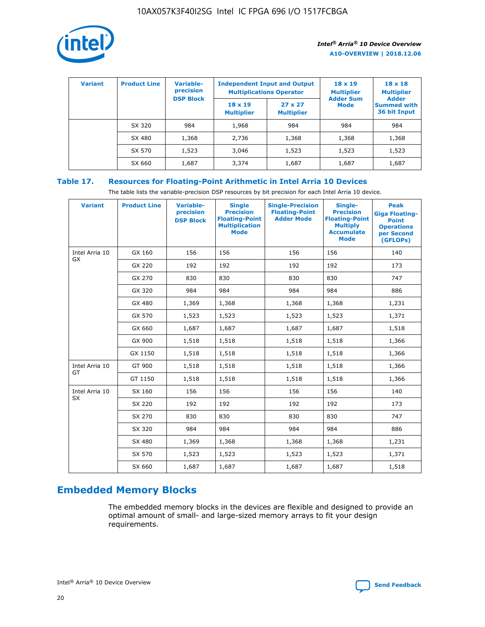

| <b>Variant</b> | <b>Product Line</b> | <b>Variable-</b><br>precision<br><b>DSP Block</b> | <b>Independent Input and Output</b><br><b>Multiplications Operator</b> |                                     | $18 \times 19$<br><b>Multiplier</b><br><b>Adder Sum</b> | $18 \times 18$<br><b>Multiplier</b><br><b>Adder</b> |  |
|----------------|---------------------|---------------------------------------------------|------------------------------------------------------------------------|-------------------------------------|---------------------------------------------------------|-----------------------------------------------------|--|
|                |                     |                                                   | $18 \times 19$<br><b>Multiplier</b>                                    | $27 \times 27$<br><b>Multiplier</b> | <b>Mode</b>                                             | <b>Summed with</b><br>36 bit Input                  |  |
|                | SX 320              | 984                                               | 1,968                                                                  | 984                                 | 984                                                     | 984                                                 |  |
|                | SX 480              | 1,368                                             | 2,736                                                                  | 1,368                               | 1,368                                                   | 1,368                                               |  |
|                | SX 570              | 1,523                                             | 3,046                                                                  | 1,523                               | 1,523                                                   | 1,523                                               |  |
|                | SX 660              | 1,687                                             | 3,374                                                                  | 1,687                               | 1,687                                                   | 1,687                                               |  |

## **Table 17. Resources for Floating-Point Arithmetic in Intel Arria 10 Devices**

The table lists the variable-precision DSP resources by bit precision for each Intel Arria 10 device.

| <b>Variant</b> | <b>Product Line</b> | <b>Variable-</b><br>precision<br><b>DSP Block</b> | <b>Single</b><br><b>Precision</b><br><b>Floating-Point</b><br><b>Multiplication</b><br><b>Mode</b> | <b>Single-Precision</b><br><b>Floating-Point</b><br><b>Adder Mode</b> | Single-<br><b>Precision</b><br><b>Floating-Point</b><br><b>Multiply</b><br><b>Accumulate</b><br><b>Mode</b> | <b>Peak</b><br><b>Giga Floating-</b><br><b>Point</b><br><b>Operations</b><br>per Second<br>(GFLOPs) |
|----------------|---------------------|---------------------------------------------------|----------------------------------------------------------------------------------------------------|-----------------------------------------------------------------------|-------------------------------------------------------------------------------------------------------------|-----------------------------------------------------------------------------------------------------|
| Intel Arria 10 | GX 160              | 156                                               | 156                                                                                                | 156                                                                   | 156                                                                                                         | 140                                                                                                 |
| GX             | GX 220              | 192                                               | 192                                                                                                | 192                                                                   | 192                                                                                                         | 173                                                                                                 |
|                | GX 270              | 830                                               | 830                                                                                                | 830                                                                   | 830                                                                                                         | 747                                                                                                 |
|                | GX 320              | 984                                               | 984                                                                                                | 984                                                                   | 984                                                                                                         | 886                                                                                                 |
|                | GX 480              | 1,369                                             | 1,368                                                                                              | 1,368                                                                 | 1,368                                                                                                       | 1,231                                                                                               |
|                | GX 570              | 1,523                                             | 1,523                                                                                              | 1,523                                                                 | 1,523                                                                                                       | 1,371                                                                                               |
|                | GX 660              | 1,687                                             | 1,687                                                                                              | 1,687                                                                 | 1,687                                                                                                       | 1,518                                                                                               |
|                | GX 900              | 1,518                                             | 1,518                                                                                              | 1,518                                                                 | 1,518                                                                                                       | 1,366                                                                                               |
|                | GX 1150             | 1,518                                             | 1,518                                                                                              | 1,518                                                                 | 1,518                                                                                                       | 1,366                                                                                               |
| Intel Arria 10 | GT 900              | 1,518                                             | 1,518                                                                                              | 1,518                                                                 | 1,518                                                                                                       | 1,366                                                                                               |
| GT             | GT 1150             | 1,518                                             | 1,518                                                                                              | 1,518                                                                 | 1,518                                                                                                       | 1,366                                                                                               |
| Intel Arria 10 | SX 160              | 156                                               | 156                                                                                                | 156                                                                   | 156                                                                                                         | 140                                                                                                 |
| <b>SX</b>      | SX 220              | 192                                               | 192                                                                                                | 192                                                                   | 192                                                                                                         | 173                                                                                                 |
|                | SX 270              | 830                                               | 830                                                                                                | 830                                                                   | 830                                                                                                         | 747                                                                                                 |
|                | SX 320              | 984                                               | 984                                                                                                | 984                                                                   | 984                                                                                                         | 886                                                                                                 |
|                | SX 480              | 1,369                                             | 1,368                                                                                              | 1,368                                                                 | 1,368                                                                                                       | 1,231                                                                                               |
|                | SX 570              | 1,523                                             | 1,523                                                                                              | 1,523                                                                 | 1,523                                                                                                       | 1,371                                                                                               |
|                | SX 660              | 1,687                                             | 1,687                                                                                              | 1,687                                                                 | 1,687                                                                                                       | 1,518                                                                                               |

# **Embedded Memory Blocks**

The embedded memory blocks in the devices are flexible and designed to provide an optimal amount of small- and large-sized memory arrays to fit your design requirements.

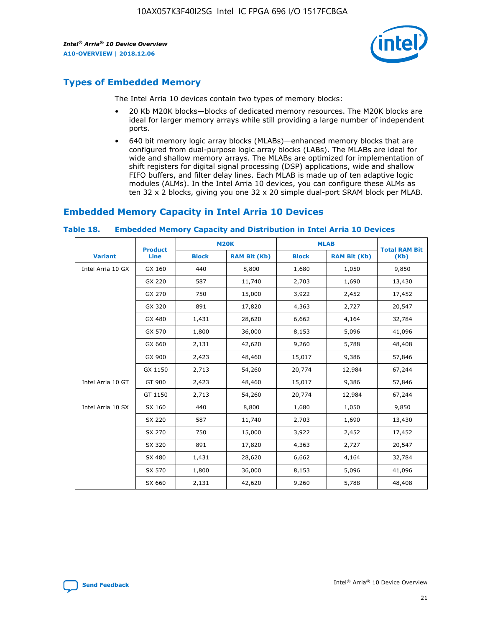

## **Types of Embedded Memory**

The Intel Arria 10 devices contain two types of memory blocks:

- 20 Kb M20K blocks—blocks of dedicated memory resources. The M20K blocks are ideal for larger memory arrays while still providing a large number of independent ports.
- 640 bit memory logic array blocks (MLABs)—enhanced memory blocks that are configured from dual-purpose logic array blocks (LABs). The MLABs are ideal for wide and shallow memory arrays. The MLABs are optimized for implementation of shift registers for digital signal processing (DSP) applications, wide and shallow FIFO buffers, and filter delay lines. Each MLAB is made up of ten adaptive logic modules (ALMs). In the Intel Arria 10 devices, you can configure these ALMs as ten 32 x 2 blocks, giving you one 32 x 20 simple dual-port SRAM block per MLAB.

## **Embedded Memory Capacity in Intel Arria 10 Devices**

|                   | <b>Product</b> |              | <b>M20K</b>         | <b>MLAB</b>  |                     | <b>Total RAM Bit</b> |
|-------------------|----------------|--------------|---------------------|--------------|---------------------|----------------------|
| <b>Variant</b>    | Line           | <b>Block</b> | <b>RAM Bit (Kb)</b> | <b>Block</b> | <b>RAM Bit (Kb)</b> | (Kb)                 |
| Intel Arria 10 GX | GX 160         | 440          | 8,800               | 1,680        | 1,050               | 9,850                |
|                   | GX 220         | 587          | 11,740              | 2,703        | 1,690               | 13,430               |
|                   | GX 270         | 750          | 15,000              | 3,922        | 2,452               | 17,452               |
|                   | GX 320         | 891          | 17,820              | 4,363        | 2,727               | 20,547               |
|                   | GX 480         | 1,431        | 28,620              | 6,662        | 4,164               | 32,784               |
|                   | GX 570         | 1,800        | 36,000              | 8,153        | 5,096               | 41,096               |
|                   | GX 660         | 2,131        | 42,620              | 9,260        | 5,788               | 48,408               |
|                   | GX 900         | 2,423        | 48,460              | 15,017       | 9,386               | 57,846               |
|                   | GX 1150        | 2,713        | 54,260              | 20,774       | 12,984              | 67,244               |
| Intel Arria 10 GT | GT 900         | 2,423        | 48,460              | 15,017       | 9,386               | 57,846               |
|                   | GT 1150        | 2,713        | 54,260              | 20,774       | 12,984              | 67,244               |
| Intel Arria 10 SX | SX 160         | 440          | 8,800               | 1,680        | 1,050               | 9,850                |
|                   | SX 220         | 587          | 11,740              | 2,703        | 1,690               | 13,430               |
|                   | SX 270         | 750          | 15,000              | 3,922        | 2,452               | 17,452               |
|                   | SX 320         | 891          | 17,820              | 4,363        | 2,727               | 20,547               |
|                   | SX 480         | 1,431        | 28,620              | 6,662        | 4,164               | 32,784               |
|                   | SX 570         | 1,800        | 36,000              | 8,153        | 5,096               | 41,096               |
|                   | SX 660         | 2,131        | 42,620              | 9,260        | 5,788               | 48,408               |

#### **Table 18. Embedded Memory Capacity and Distribution in Intel Arria 10 Devices**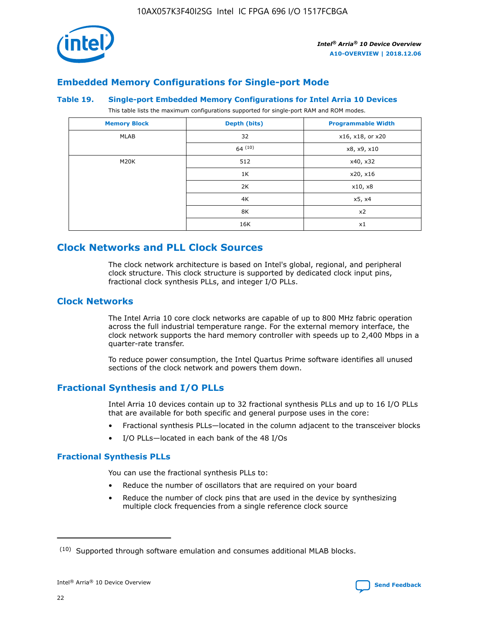

## **Embedded Memory Configurations for Single-port Mode**

#### **Table 19. Single-port Embedded Memory Configurations for Intel Arria 10 Devices**

This table lists the maximum configurations supported for single-port RAM and ROM modes.

| <b>Memory Block</b> | Depth (bits) | <b>Programmable Width</b> |
|---------------------|--------------|---------------------------|
| MLAB                | 32           | x16, x18, or x20          |
|                     | 64(10)       | x8, x9, x10               |
| M20K                | 512          | x40, x32                  |
|                     | 1K           | x20, x16                  |
|                     | 2K           | x10, x8                   |
|                     | 4K           | x5, x4                    |
|                     | 8K           | x2                        |
|                     | 16K          | x1                        |

# **Clock Networks and PLL Clock Sources**

The clock network architecture is based on Intel's global, regional, and peripheral clock structure. This clock structure is supported by dedicated clock input pins, fractional clock synthesis PLLs, and integer I/O PLLs.

## **Clock Networks**

The Intel Arria 10 core clock networks are capable of up to 800 MHz fabric operation across the full industrial temperature range. For the external memory interface, the clock network supports the hard memory controller with speeds up to 2,400 Mbps in a quarter-rate transfer.

To reduce power consumption, the Intel Quartus Prime software identifies all unused sections of the clock network and powers them down.

## **Fractional Synthesis and I/O PLLs**

Intel Arria 10 devices contain up to 32 fractional synthesis PLLs and up to 16 I/O PLLs that are available for both specific and general purpose uses in the core:

- Fractional synthesis PLLs—located in the column adjacent to the transceiver blocks
- I/O PLLs—located in each bank of the 48 I/Os

## **Fractional Synthesis PLLs**

You can use the fractional synthesis PLLs to:

- Reduce the number of oscillators that are required on your board
- Reduce the number of clock pins that are used in the device by synthesizing multiple clock frequencies from a single reference clock source

<sup>(10)</sup> Supported through software emulation and consumes additional MLAB blocks.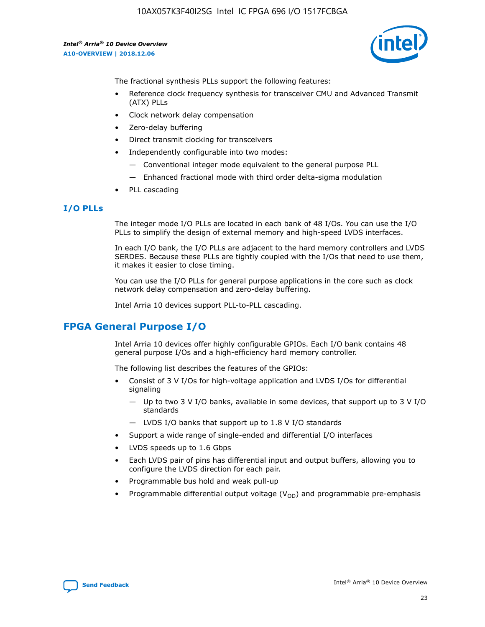

The fractional synthesis PLLs support the following features:

- Reference clock frequency synthesis for transceiver CMU and Advanced Transmit (ATX) PLLs
- Clock network delay compensation
- Zero-delay buffering
- Direct transmit clocking for transceivers
- Independently configurable into two modes:
	- Conventional integer mode equivalent to the general purpose PLL
	- Enhanced fractional mode with third order delta-sigma modulation
- PLL cascading

#### **I/O PLLs**

The integer mode I/O PLLs are located in each bank of 48 I/Os. You can use the I/O PLLs to simplify the design of external memory and high-speed LVDS interfaces.

In each I/O bank, the I/O PLLs are adjacent to the hard memory controllers and LVDS SERDES. Because these PLLs are tightly coupled with the I/Os that need to use them, it makes it easier to close timing.

You can use the I/O PLLs for general purpose applications in the core such as clock network delay compensation and zero-delay buffering.

Intel Arria 10 devices support PLL-to-PLL cascading.

## **FPGA General Purpose I/O**

Intel Arria 10 devices offer highly configurable GPIOs. Each I/O bank contains 48 general purpose I/Os and a high-efficiency hard memory controller.

The following list describes the features of the GPIOs:

- Consist of 3 V I/Os for high-voltage application and LVDS I/Os for differential signaling
	- Up to two 3 V I/O banks, available in some devices, that support up to 3 V I/O standards
	- LVDS I/O banks that support up to 1.8 V I/O standards
- Support a wide range of single-ended and differential I/O interfaces
- LVDS speeds up to 1.6 Gbps
- Each LVDS pair of pins has differential input and output buffers, allowing you to configure the LVDS direction for each pair.
- Programmable bus hold and weak pull-up
- Programmable differential output voltage  $(V_{OD})$  and programmable pre-emphasis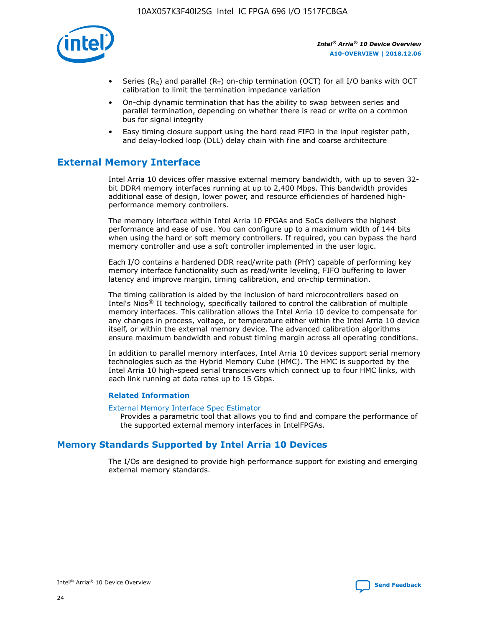

- Series (R<sub>S</sub>) and parallel (R<sub>T</sub>) on-chip termination (OCT) for all I/O banks with OCT calibration to limit the termination impedance variation
- On-chip dynamic termination that has the ability to swap between series and parallel termination, depending on whether there is read or write on a common bus for signal integrity
- Easy timing closure support using the hard read FIFO in the input register path, and delay-locked loop (DLL) delay chain with fine and coarse architecture

# **External Memory Interface**

Intel Arria 10 devices offer massive external memory bandwidth, with up to seven 32 bit DDR4 memory interfaces running at up to 2,400 Mbps. This bandwidth provides additional ease of design, lower power, and resource efficiencies of hardened highperformance memory controllers.

The memory interface within Intel Arria 10 FPGAs and SoCs delivers the highest performance and ease of use. You can configure up to a maximum width of 144 bits when using the hard or soft memory controllers. If required, you can bypass the hard memory controller and use a soft controller implemented in the user logic.

Each I/O contains a hardened DDR read/write path (PHY) capable of performing key memory interface functionality such as read/write leveling, FIFO buffering to lower latency and improve margin, timing calibration, and on-chip termination.

The timing calibration is aided by the inclusion of hard microcontrollers based on Intel's Nios® II technology, specifically tailored to control the calibration of multiple memory interfaces. This calibration allows the Intel Arria 10 device to compensate for any changes in process, voltage, or temperature either within the Intel Arria 10 device itself, or within the external memory device. The advanced calibration algorithms ensure maximum bandwidth and robust timing margin across all operating conditions.

In addition to parallel memory interfaces, Intel Arria 10 devices support serial memory technologies such as the Hybrid Memory Cube (HMC). The HMC is supported by the Intel Arria 10 high-speed serial transceivers which connect up to four HMC links, with each link running at data rates up to 15 Gbps.

#### **Related Information**

#### [External Memory Interface Spec Estimator](http://www.altera.com/technology/memory/estimator/mem-emif-index.html)

Provides a parametric tool that allows you to find and compare the performance of the supported external memory interfaces in IntelFPGAs.

## **Memory Standards Supported by Intel Arria 10 Devices**

The I/Os are designed to provide high performance support for existing and emerging external memory standards.

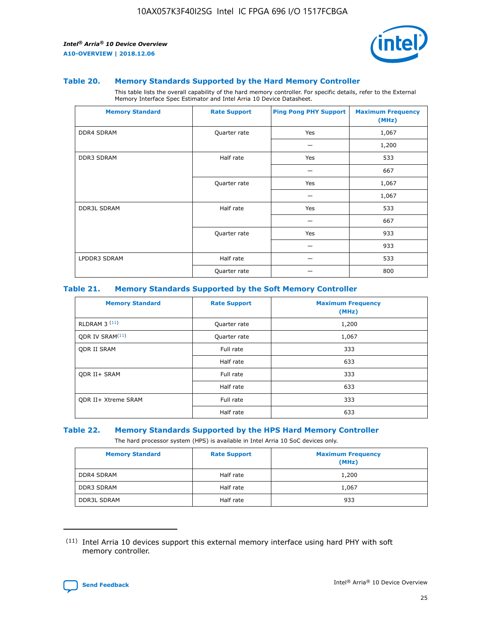

#### **Table 20. Memory Standards Supported by the Hard Memory Controller**

This table lists the overall capability of the hard memory controller. For specific details, refer to the External Memory Interface Spec Estimator and Intel Arria 10 Device Datasheet.

| <b>Memory Standard</b> | <b>Rate Support</b> | <b>Ping Pong PHY Support</b> | <b>Maximum Frequency</b><br>(MHz) |
|------------------------|---------------------|------------------------------|-----------------------------------|
| <b>DDR4 SDRAM</b>      | Quarter rate        | Yes                          | 1,067                             |
|                        |                     |                              | 1,200                             |
| <b>DDR3 SDRAM</b>      | Half rate           | Yes                          | 533                               |
|                        |                     |                              | 667                               |
|                        | Quarter rate        | Yes                          | 1,067                             |
|                        |                     |                              | 1,067                             |
| <b>DDR3L SDRAM</b>     | Half rate           | Yes                          | 533                               |
|                        |                     |                              | 667                               |
|                        | Quarter rate        | Yes                          | 933                               |
|                        |                     |                              | 933                               |
| LPDDR3 SDRAM           | Half rate           |                              | 533                               |
|                        | Quarter rate        |                              | 800                               |

#### **Table 21. Memory Standards Supported by the Soft Memory Controller**

| <b>Memory Standard</b>      | <b>Rate Support</b> | <b>Maximum Frequency</b><br>(MHz) |
|-----------------------------|---------------------|-----------------------------------|
| <b>RLDRAM 3 (11)</b>        | Quarter rate        | 1,200                             |
| ODR IV SRAM <sup>(11)</sup> | Quarter rate        | 1,067                             |
| <b>ODR II SRAM</b>          | Full rate           | 333                               |
|                             | Half rate           | 633                               |
| <b>ODR II+ SRAM</b>         | Full rate           | 333                               |
|                             | Half rate           | 633                               |
| <b>ODR II+ Xtreme SRAM</b>  | Full rate           | 333                               |
|                             | Half rate           | 633                               |

#### **Table 22. Memory Standards Supported by the HPS Hard Memory Controller**

The hard processor system (HPS) is available in Intel Arria 10 SoC devices only.

| <b>Memory Standard</b> | <b>Rate Support</b> | <b>Maximum Frequency</b><br>(MHz) |
|------------------------|---------------------|-----------------------------------|
| <b>DDR4 SDRAM</b>      | Half rate           | 1,200                             |
| <b>DDR3 SDRAM</b>      | Half rate           | 1,067                             |
| <b>DDR3L SDRAM</b>     | Half rate           | 933                               |

<sup>(11)</sup> Intel Arria 10 devices support this external memory interface using hard PHY with soft memory controller.

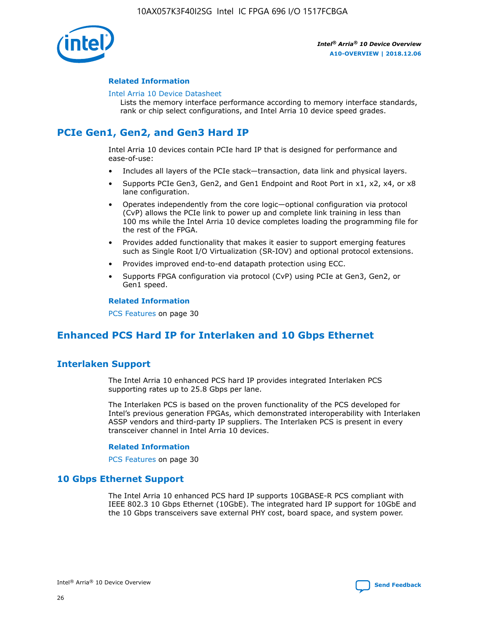

#### **Related Information**

#### [Intel Arria 10 Device Datasheet](https://www.intel.com/content/www/us/en/programmable/documentation/mcn1413182292568.html#mcn1413182153340)

Lists the memory interface performance according to memory interface standards, rank or chip select configurations, and Intel Arria 10 device speed grades.

# **PCIe Gen1, Gen2, and Gen3 Hard IP**

Intel Arria 10 devices contain PCIe hard IP that is designed for performance and ease-of-use:

- Includes all layers of the PCIe stack—transaction, data link and physical layers.
- Supports PCIe Gen3, Gen2, and Gen1 Endpoint and Root Port in x1, x2, x4, or x8 lane configuration.
- Operates independently from the core logic—optional configuration via protocol (CvP) allows the PCIe link to power up and complete link training in less than 100 ms while the Intel Arria 10 device completes loading the programming file for the rest of the FPGA.
- Provides added functionality that makes it easier to support emerging features such as Single Root I/O Virtualization (SR-IOV) and optional protocol extensions.
- Provides improved end-to-end datapath protection using ECC.
- Supports FPGA configuration via protocol (CvP) using PCIe at Gen3, Gen2, or Gen1 speed.

#### **Related Information**

PCS Features on page 30

# **Enhanced PCS Hard IP for Interlaken and 10 Gbps Ethernet**

## **Interlaken Support**

The Intel Arria 10 enhanced PCS hard IP provides integrated Interlaken PCS supporting rates up to 25.8 Gbps per lane.

The Interlaken PCS is based on the proven functionality of the PCS developed for Intel's previous generation FPGAs, which demonstrated interoperability with Interlaken ASSP vendors and third-party IP suppliers. The Interlaken PCS is present in every transceiver channel in Intel Arria 10 devices.

#### **Related Information**

PCS Features on page 30

## **10 Gbps Ethernet Support**

The Intel Arria 10 enhanced PCS hard IP supports 10GBASE-R PCS compliant with IEEE 802.3 10 Gbps Ethernet (10GbE). The integrated hard IP support for 10GbE and the 10 Gbps transceivers save external PHY cost, board space, and system power.

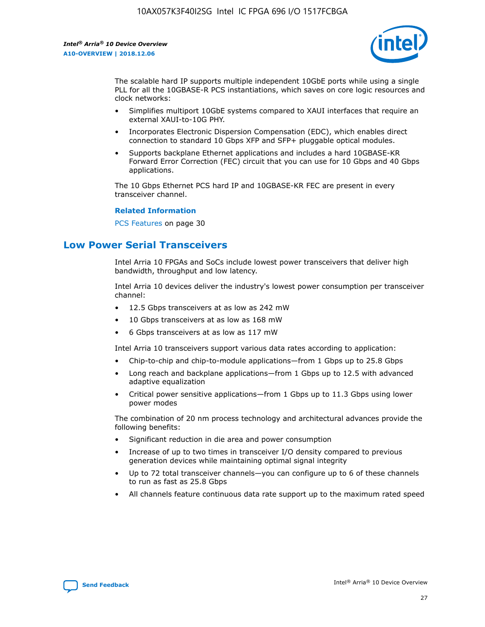

The scalable hard IP supports multiple independent 10GbE ports while using a single PLL for all the 10GBASE-R PCS instantiations, which saves on core logic resources and clock networks:

- Simplifies multiport 10GbE systems compared to XAUI interfaces that require an external XAUI-to-10G PHY.
- Incorporates Electronic Dispersion Compensation (EDC), which enables direct connection to standard 10 Gbps XFP and SFP+ pluggable optical modules.
- Supports backplane Ethernet applications and includes a hard 10GBASE-KR Forward Error Correction (FEC) circuit that you can use for 10 Gbps and 40 Gbps applications.

The 10 Gbps Ethernet PCS hard IP and 10GBASE-KR FEC are present in every transceiver channel.

#### **Related Information**

PCS Features on page 30

# **Low Power Serial Transceivers**

Intel Arria 10 FPGAs and SoCs include lowest power transceivers that deliver high bandwidth, throughput and low latency.

Intel Arria 10 devices deliver the industry's lowest power consumption per transceiver channel:

- 12.5 Gbps transceivers at as low as 242 mW
- 10 Gbps transceivers at as low as 168 mW
- 6 Gbps transceivers at as low as 117 mW

Intel Arria 10 transceivers support various data rates according to application:

- Chip-to-chip and chip-to-module applications—from 1 Gbps up to 25.8 Gbps
- Long reach and backplane applications—from 1 Gbps up to 12.5 with advanced adaptive equalization
- Critical power sensitive applications—from 1 Gbps up to 11.3 Gbps using lower power modes

The combination of 20 nm process technology and architectural advances provide the following benefits:

- Significant reduction in die area and power consumption
- Increase of up to two times in transceiver I/O density compared to previous generation devices while maintaining optimal signal integrity
- Up to 72 total transceiver channels—you can configure up to 6 of these channels to run as fast as 25.8 Gbps
- All channels feature continuous data rate support up to the maximum rated speed

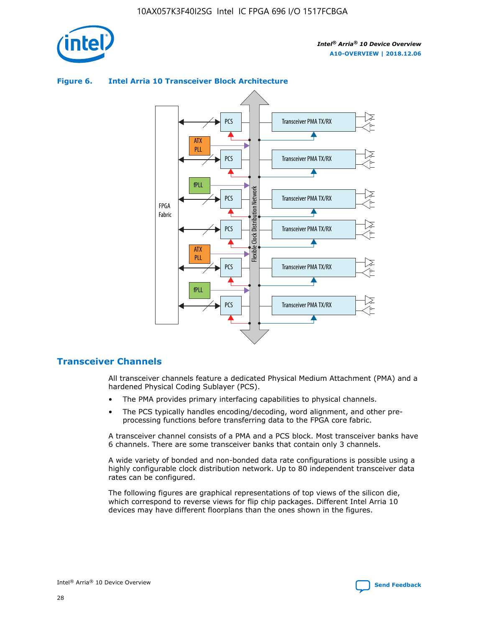

## Transceiver PMA TX/RX PCS ATX PLL Transceiver PMA TX/RX PCS fPLL Network Flexible Clock Distribution Network PCS Transceiver PMA TX/RX FPGA **Clock Distribution** Fabric PCS Transceiver PMA TX/RX ATX Flexible PLL PCS Transceiver PMA TX/RX ▲ fPLL Transceiver PMA TX/RX PCS 4

## **Figure 6. Intel Arria 10 Transceiver Block Architecture**

## **Transceiver Channels**

All transceiver channels feature a dedicated Physical Medium Attachment (PMA) and a hardened Physical Coding Sublayer (PCS).

- The PMA provides primary interfacing capabilities to physical channels.
- The PCS typically handles encoding/decoding, word alignment, and other preprocessing functions before transferring data to the FPGA core fabric.

A transceiver channel consists of a PMA and a PCS block. Most transceiver banks have 6 channels. There are some transceiver banks that contain only 3 channels.

A wide variety of bonded and non-bonded data rate configurations is possible using a highly configurable clock distribution network. Up to 80 independent transceiver data rates can be configured.

The following figures are graphical representations of top views of the silicon die, which correspond to reverse views for flip chip packages. Different Intel Arria 10 devices may have different floorplans than the ones shown in the figures.

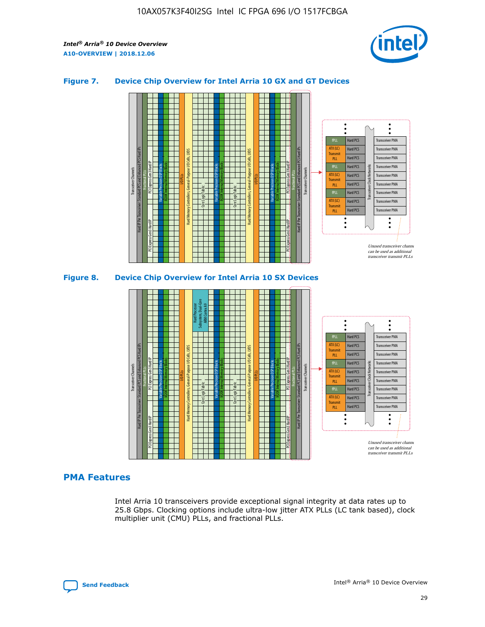

## **Figure 7. Device Chip Overview for Intel Arria 10 GX and GT Devices**



M20K Internal Memory Blocks Core Logic Fabric Transceiver Channels Hard IP Per Transceiver: Standard PCS and Enhanced PCS Hard IPs PCI Express Gen3 Hard IP Fractional PLLs M20K Internal Memory Blocks PCI Express Gen3 Hard IP Variable Precision DSP Blocks I/O PLLs Hard Memory Controllers, General-Purpose I/O Cells, LVDS Hard Processor Subsystem, Dual-Core ARM Cortex A9 M20K Internal Memory Blocks Variable Precision DSP Blocks M20K Internal Memory Blocks Core Logic Fabric I/O PLLs Hard Memory Controllers, General-Purpose I/O Cells, LVDS M20K Internal Memory Blocks Variable Precision DSP Blocks M20K Internal Memory Blocks Transceiver Channels Hard IP Per Transceiver: Standard PCS and Enhanced PCS Hard IPs PCI Express Gen3 Hard IP Fractional PLLs PCI Express Gen3 Hard IP  $\ddot{\cdot}$ Hard PCS Transceiver PMA fPLL ATX (LC) Hard PCS Transceiver PMA **Transmit** Hard PCS Transceiver PMA PLL fPLL Hard PCS Transceiver PMA Transceiver Clock Networks ATX (LC) Hard PCS Transceiver PMA Transmi Hard PCS Transceiver PMA PLL fPLL Hard PCS Transceiver PMA Transceiver PMA Hard PCS ATX (LC) **Transmit** Hard PCS Transceiver PMA PLL Unused transceiver chann can be used as additional transceiver transmit PLLs

#### **PMA Features**

Intel Arria 10 transceivers provide exceptional signal integrity at data rates up to 25.8 Gbps. Clocking options include ultra-low jitter ATX PLLs (LC tank based), clock multiplier unit (CMU) PLLs, and fractional PLLs.

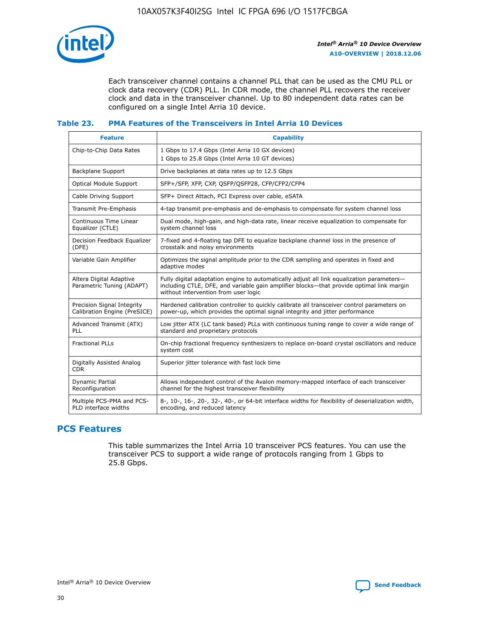

Each transceiver channel contains a channel PLL that can be used as the CMU PLL or clock data recovery (CDR) PLL. In CDR mode, the channel PLL recovers the receiver clock and data in the transceiver channel. Up to 80 independent data rates can be configured on a single Intel Arria 10 device.

## **Table 23. PMA Features of the Transceivers in Intel Arria 10 Devices**

| <b>Feature</b>                                             | <b>Capability</b>                                                                                                                                                                                                             |
|------------------------------------------------------------|-------------------------------------------------------------------------------------------------------------------------------------------------------------------------------------------------------------------------------|
| Chip-to-Chip Data Rates                                    | 1 Gbps to 17.4 Gbps (Intel Arria 10 GX devices)<br>1 Gbps to 25.8 Gbps (Intel Arria 10 GT devices)                                                                                                                            |
| Backplane Support                                          | Drive backplanes at data rates up to 12.5 Gbps                                                                                                                                                                                |
| Optical Module Support                                     | SFP+/SFP, XFP, CXP, QSFP/QSFP28, CFP/CFP2/CFP4                                                                                                                                                                                |
| Cable Driving Support                                      | SFP+ Direct Attach, PCI Express over cable, eSATA                                                                                                                                                                             |
| Transmit Pre-Emphasis                                      | 4-tap transmit pre-emphasis and de-emphasis to compensate for system channel loss                                                                                                                                             |
| Continuous Time Linear<br>Equalizer (CTLE)                 | Dual mode, high-gain, and high-data rate, linear receive equalization to compensate for<br>system channel loss                                                                                                                |
| Decision Feedback Equalizer<br>(DFE)                       | 7-fixed and 4-floating tap DFE to equalize backplane channel loss in the presence of<br>crosstalk and noisy environments                                                                                                      |
| Variable Gain Amplifier                                    | Optimizes the signal amplitude prior to the CDR sampling and operates in fixed and<br>adaptive modes                                                                                                                          |
| Altera Digital Adaptive<br>Parametric Tuning (ADAPT)       | Fully digital adaptation engine to automatically adjust all link equalization parameters-<br>including CTLE, DFE, and variable gain amplifier blocks—that provide optimal link margin<br>without intervention from user logic |
| Precision Signal Integrity<br>Calibration Engine (PreSICE) | Hardened calibration controller to quickly calibrate all transceiver control parameters on<br>power-up, which provides the optimal signal integrity and jitter performance                                                    |
| Advanced Transmit (ATX)<br>PLL                             | Low jitter ATX (LC tank based) PLLs with continuous tuning range to cover a wide range of<br>standard and proprietary protocols                                                                                               |
| <b>Fractional PLLs</b>                                     | On-chip fractional frequency synthesizers to replace on-board crystal oscillators and reduce<br>system cost                                                                                                                   |
| Digitally Assisted Analog<br><b>CDR</b>                    | Superior jitter tolerance with fast lock time                                                                                                                                                                                 |
| Dynamic Partial<br>Reconfiguration                         | Allows independent control of the Avalon memory-mapped interface of each transceiver<br>channel for the highest transceiver flexibility                                                                                       |
| Multiple PCS-PMA and PCS-<br>PLD interface widths          | 8-, 10-, 16-, 20-, 32-, 40-, or 64-bit interface widths for flexibility of deserialization width,<br>encoding, and reduced latency                                                                                            |

## **PCS Features**

This table summarizes the Intel Arria 10 transceiver PCS features. You can use the transceiver PCS to support a wide range of protocols ranging from 1 Gbps to 25.8 Gbps.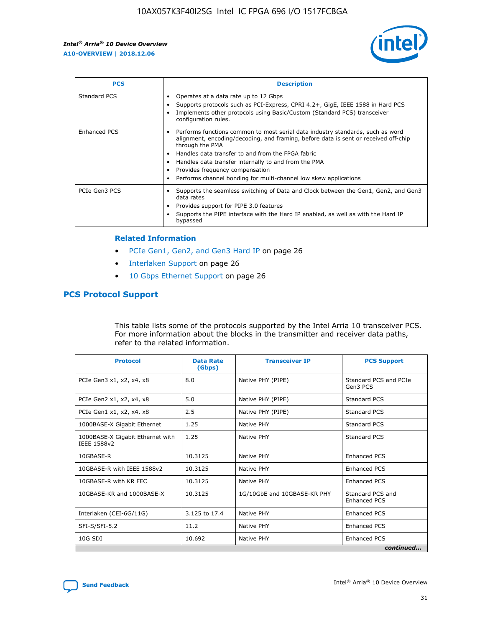

| <b>PCS</b>    | <b>Description</b>                                                                                                                                                                                                                                                                                                                                                                                             |
|---------------|----------------------------------------------------------------------------------------------------------------------------------------------------------------------------------------------------------------------------------------------------------------------------------------------------------------------------------------------------------------------------------------------------------------|
| Standard PCS  | Operates at a data rate up to 12 Gbps<br>Supports protocols such as PCI-Express, CPRI 4.2+, GigE, IEEE 1588 in Hard PCS<br>Implements other protocols using Basic/Custom (Standard PCS) transceiver<br>configuration rules.                                                                                                                                                                                    |
| Enhanced PCS  | Performs functions common to most serial data industry standards, such as word<br>alignment, encoding/decoding, and framing, before data is sent or received off-chip<br>through the PMA<br>• Handles data transfer to and from the FPGA fabric<br>Handles data transfer internally to and from the PMA<br>Provides frequency compensation<br>Performs channel bonding for multi-channel low skew applications |
| PCIe Gen3 PCS | Supports the seamless switching of Data and Clock between the Gen1, Gen2, and Gen3<br>data rates<br>Provides support for PIPE 3.0 features<br>Supports the PIPE interface with the Hard IP enabled, as well as with the Hard IP<br>bypassed                                                                                                                                                                    |

#### **Related Information**

- PCIe Gen1, Gen2, and Gen3 Hard IP on page 26
- Interlaken Support on page 26
- 10 Gbps Ethernet Support on page 26

## **PCS Protocol Support**

This table lists some of the protocols supported by the Intel Arria 10 transceiver PCS. For more information about the blocks in the transmitter and receiver data paths, refer to the related information.

| <b>Protocol</b>                                 | <b>Data Rate</b><br>(Gbps) | <b>Transceiver IP</b>       | <b>PCS Support</b>                      |
|-------------------------------------------------|----------------------------|-----------------------------|-----------------------------------------|
| PCIe Gen3 x1, x2, x4, x8                        | 8.0                        | Native PHY (PIPE)           | Standard PCS and PCIe<br>Gen3 PCS       |
| PCIe Gen2 x1, x2, x4, x8                        | 5.0                        | Native PHY (PIPE)           | <b>Standard PCS</b>                     |
| PCIe Gen1 x1, x2, x4, x8                        | 2.5                        | Native PHY (PIPE)           | Standard PCS                            |
| 1000BASE-X Gigabit Ethernet                     | 1.25                       | Native PHY                  | <b>Standard PCS</b>                     |
| 1000BASE-X Gigabit Ethernet with<br>IEEE 1588v2 | 1.25                       | Native PHY                  | Standard PCS                            |
| 10GBASE-R                                       | 10.3125                    | Native PHY                  | <b>Enhanced PCS</b>                     |
| 10GBASE-R with IEEE 1588v2                      | 10.3125                    | Native PHY                  | <b>Enhanced PCS</b>                     |
| 10GBASE-R with KR FEC                           | 10.3125                    | Native PHY                  | <b>Enhanced PCS</b>                     |
| 10GBASE-KR and 1000BASE-X                       | 10.3125                    | 1G/10GbE and 10GBASE-KR PHY | Standard PCS and<br><b>Enhanced PCS</b> |
| Interlaken (CEI-6G/11G)                         | 3.125 to 17.4              | Native PHY                  | <b>Enhanced PCS</b>                     |
| SFI-S/SFI-5.2                                   | 11.2                       | Native PHY                  | <b>Enhanced PCS</b>                     |
| $10G$ SDI                                       | 10.692                     | Native PHY                  | <b>Enhanced PCS</b>                     |
|                                                 |                            |                             | continued                               |

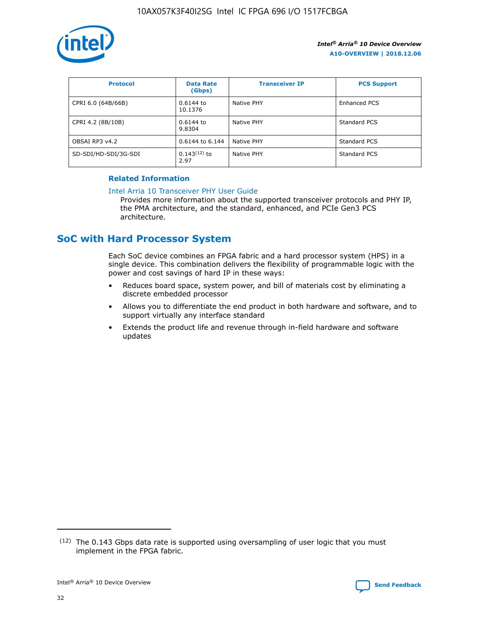

| <b>Protocol</b>      | <b>Data Rate</b><br>(Gbps) | <b>Transceiver IP</b> | <b>PCS Support</b>  |
|----------------------|----------------------------|-----------------------|---------------------|
| CPRI 6.0 (64B/66B)   | 0.6144 to<br>10.1376       | Native PHY            | <b>Enhanced PCS</b> |
| CPRI 4.2 (8B/10B)    | 0.6144 to<br>9.8304        | Native PHY            | Standard PCS        |
| OBSAI RP3 v4.2       | 0.6144 to 6.144            | Native PHY            | Standard PCS        |
| SD-SDI/HD-SDI/3G-SDI | $0.143(12)$ to<br>2.97     | Native PHY            | Standard PCS        |

## **Related Information**

#### [Intel Arria 10 Transceiver PHY User Guide](https://www.intel.com/content/www/us/en/programmable/documentation/nik1398707230472.html#nik1398707091164)

Provides more information about the supported transceiver protocols and PHY IP, the PMA architecture, and the standard, enhanced, and PCIe Gen3 PCS architecture.

# **SoC with Hard Processor System**

Each SoC device combines an FPGA fabric and a hard processor system (HPS) in a single device. This combination delivers the flexibility of programmable logic with the power and cost savings of hard IP in these ways:

- Reduces board space, system power, and bill of materials cost by eliminating a discrete embedded processor
- Allows you to differentiate the end product in both hardware and software, and to support virtually any interface standard
- Extends the product life and revenue through in-field hardware and software updates

 $(12)$  The 0.143 Gbps data rate is supported using oversampling of user logic that you must implement in the FPGA fabric.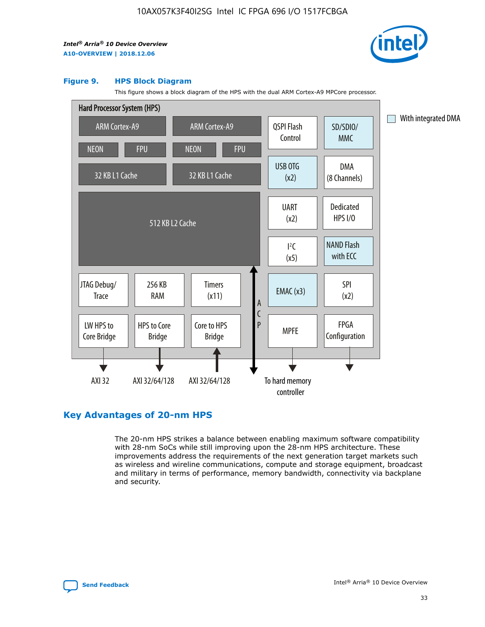

#### **Figure 9. HPS Block Diagram**

This figure shows a block diagram of the HPS with the dual ARM Cortex-A9 MPCore processor.



## **Key Advantages of 20-nm HPS**

The 20-nm HPS strikes a balance between enabling maximum software compatibility with 28-nm SoCs while still improving upon the 28-nm HPS architecture. These improvements address the requirements of the next generation target markets such as wireless and wireline communications, compute and storage equipment, broadcast and military in terms of performance, memory bandwidth, connectivity via backplane and security.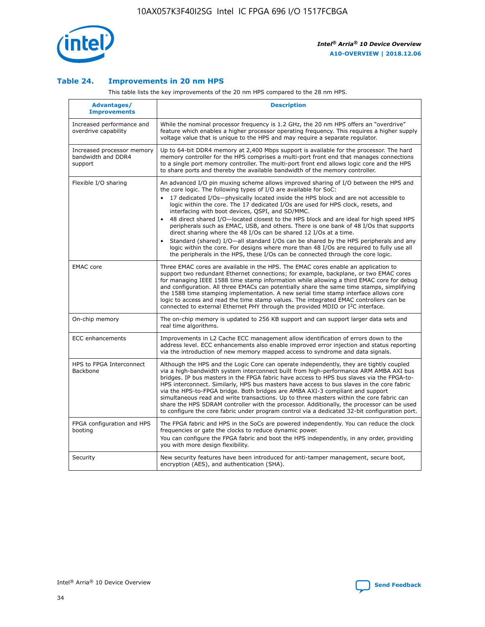

## **Table 24. Improvements in 20 nm HPS**

This table lists the key improvements of the 20 nm HPS compared to the 28 nm HPS.

| Advantages/<br><b>Improvements</b>                          | <b>Description</b>                                                                                                                                                                                                                                                                                                                                                                                                                                                                                                                                                                                                                                                                                                                                                                                                                                                                                                                   |
|-------------------------------------------------------------|--------------------------------------------------------------------------------------------------------------------------------------------------------------------------------------------------------------------------------------------------------------------------------------------------------------------------------------------------------------------------------------------------------------------------------------------------------------------------------------------------------------------------------------------------------------------------------------------------------------------------------------------------------------------------------------------------------------------------------------------------------------------------------------------------------------------------------------------------------------------------------------------------------------------------------------|
| Increased performance and<br>overdrive capability           | While the nominal processor frequency is 1.2 GHz, the 20 nm HPS offers an "overdrive"<br>feature which enables a higher processor operating frequency. This requires a higher supply<br>voltage value that is unique to the HPS and may require a separate requlator.                                                                                                                                                                                                                                                                                                                                                                                                                                                                                                                                                                                                                                                                |
| Increased processor memory<br>bandwidth and DDR4<br>support | Up to 64-bit DDR4 memory at 2,400 Mbps support is available for the processor. The hard<br>memory controller for the HPS comprises a multi-port front end that manages connections<br>to a single port memory controller. The multi-port front end allows logic core and the HPS<br>to share ports and thereby the available bandwidth of the memory controller.                                                                                                                                                                                                                                                                                                                                                                                                                                                                                                                                                                     |
| Flexible I/O sharing                                        | An advanced I/O pin muxing scheme allows improved sharing of I/O between the HPS and<br>the core logic. The following types of I/O are available for SoC:<br>17 dedicated I/Os-physically located inside the HPS block and are not accessible to<br>logic within the core. The 17 dedicated I/Os are used for HPS clock, resets, and<br>interfacing with boot devices, QSPI, and SD/MMC.<br>48 direct shared I/O-located closest to the HPS block and are ideal for high speed HPS<br>peripherals such as EMAC, USB, and others. There is one bank of 48 I/Os that supports<br>direct sharing where the 48 I/Os can be shared 12 I/Os at a time.<br>Standard (shared) I/O-all standard I/Os can be shared by the HPS peripherals and any<br>$\bullet$<br>logic within the core. For designs where more than 48 I/Os are required to fully use all<br>the peripherals in the HPS, these I/Os can be connected through the core logic. |
| <b>EMAC</b> core                                            | Three EMAC cores are available in the HPS. The EMAC cores enable an application to<br>support two redundant Ethernet connections; for example, backplane, or two EMAC cores<br>for managing IEEE 1588 time stamp information while allowing a third EMAC core for debug<br>and configuration. All three EMACs can potentially share the same time stamps, simplifying<br>the 1588 time stamping implementation. A new serial time stamp interface allows core<br>logic to access and read the time stamp values. The integrated EMAC controllers can be<br>connected to external Ethernet PHY through the provided MDIO or I <sup>2</sup> C interface.                                                                                                                                                                                                                                                                               |
| On-chip memory                                              | The on-chip memory is updated to 256 KB support and can support larger data sets and<br>real time algorithms.                                                                                                                                                                                                                                                                                                                                                                                                                                                                                                                                                                                                                                                                                                                                                                                                                        |
| <b>ECC</b> enhancements                                     | Improvements in L2 Cache ECC management allow identification of errors down to the<br>address level. ECC enhancements also enable improved error injection and status reporting<br>via the introduction of new memory mapped access to syndrome and data signals.                                                                                                                                                                                                                                                                                                                                                                                                                                                                                                                                                                                                                                                                    |
| HPS to FPGA Interconnect<br>Backbone                        | Although the HPS and the Logic Core can operate independently, they are tightly coupled<br>via a high-bandwidth system interconnect built from high-performance ARM AMBA AXI bus<br>bridges. IP bus masters in the FPGA fabric have access to HPS bus slaves via the FPGA-to-<br>HPS interconnect. Similarly, HPS bus masters have access to bus slaves in the core fabric<br>via the HPS-to-FPGA bridge. Both bridges are AMBA AXI-3 compliant and support<br>simultaneous read and write transactions. Up to three masters within the core fabric can<br>share the HPS SDRAM controller with the processor. Additionally, the processor can be used<br>to configure the core fabric under program control via a dedicated 32-bit configuration port.                                                                                                                                                                               |
| FPGA configuration and HPS<br>booting                       | The FPGA fabric and HPS in the SoCs are powered independently. You can reduce the clock<br>frequencies or gate the clocks to reduce dynamic power.<br>You can configure the FPGA fabric and boot the HPS independently, in any order, providing<br>you with more design flexibility.                                                                                                                                                                                                                                                                                                                                                                                                                                                                                                                                                                                                                                                 |
| Security                                                    | New security features have been introduced for anti-tamper management, secure boot,<br>encryption (AES), and authentication (SHA).                                                                                                                                                                                                                                                                                                                                                                                                                                                                                                                                                                                                                                                                                                                                                                                                   |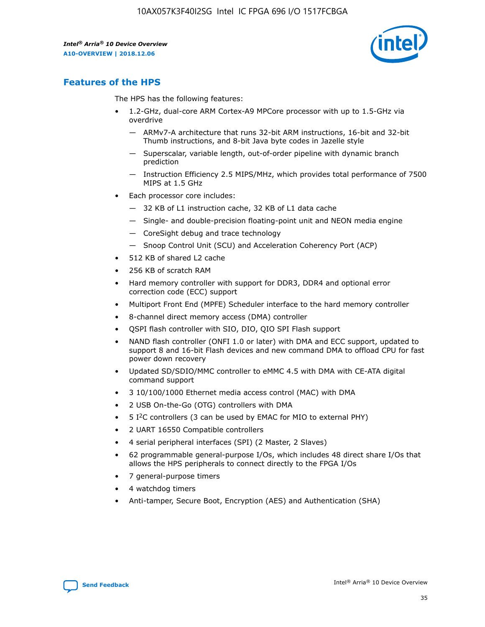

## **Features of the HPS**

The HPS has the following features:

- 1.2-GHz, dual-core ARM Cortex-A9 MPCore processor with up to 1.5-GHz via overdrive
	- ARMv7-A architecture that runs 32-bit ARM instructions, 16-bit and 32-bit Thumb instructions, and 8-bit Java byte codes in Jazelle style
	- Superscalar, variable length, out-of-order pipeline with dynamic branch prediction
	- Instruction Efficiency 2.5 MIPS/MHz, which provides total performance of 7500 MIPS at 1.5 GHz
- Each processor core includes:
	- 32 KB of L1 instruction cache, 32 KB of L1 data cache
	- Single- and double-precision floating-point unit and NEON media engine
	- CoreSight debug and trace technology
	- Snoop Control Unit (SCU) and Acceleration Coherency Port (ACP)
- 512 KB of shared L2 cache
- 256 KB of scratch RAM
- Hard memory controller with support for DDR3, DDR4 and optional error correction code (ECC) support
- Multiport Front End (MPFE) Scheduler interface to the hard memory controller
- 8-channel direct memory access (DMA) controller
- QSPI flash controller with SIO, DIO, QIO SPI Flash support
- NAND flash controller (ONFI 1.0 or later) with DMA and ECC support, updated to support 8 and 16-bit Flash devices and new command DMA to offload CPU for fast power down recovery
- Updated SD/SDIO/MMC controller to eMMC 4.5 with DMA with CE-ATA digital command support
- 3 10/100/1000 Ethernet media access control (MAC) with DMA
- 2 USB On-the-Go (OTG) controllers with DMA
- $\bullet$  5 I<sup>2</sup>C controllers (3 can be used by EMAC for MIO to external PHY)
- 2 UART 16550 Compatible controllers
- 4 serial peripheral interfaces (SPI) (2 Master, 2 Slaves)
- 62 programmable general-purpose I/Os, which includes 48 direct share I/Os that allows the HPS peripherals to connect directly to the FPGA I/Os
- 7 general-purpose timers
- 4 watchdog timers
- Anti-tamper, Secure Boot, Encryption (AES) and Authentication (SHA)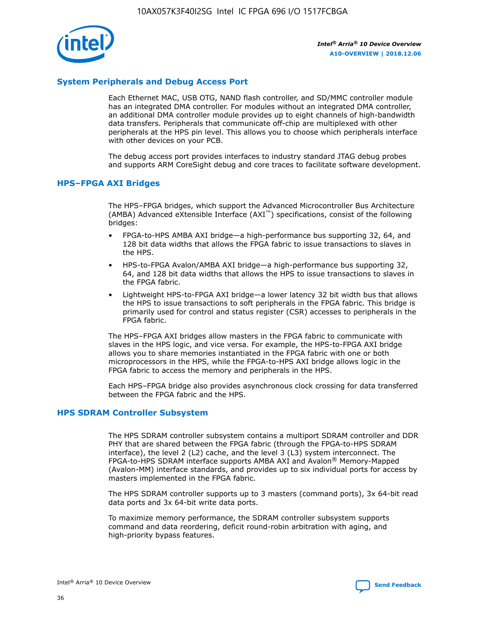

## **System Peripherals and Debug Access Port**

Each Ethernet MAC, USB OTG, NAND flash controller, and SD/MMC controller module has an integrated DMA controller. For modules without an integrated DMA controller, an additional DMA controller module provides up to eight channels of high-bandwidth data transfers. Peripherals that communicate off-chip are multiplexed with other peripherals at the HPS pin level. This allows you to choose which peripherals interface with other devices on your PCB.

The debug access port provides interfaces to industry standard JTAG debug probes and supports ARM CoreSight debug and core traces to facilitate software development.

## **HPS–FPGA AXI Bridges**

The HPS–FPGA bridges, which support the Advanced Microcontroller Bus Architecture (AMBA) Advanced eXtensible Interface (AXI™) specifications, consist of the following bridges:

- FPGA-to-HPS AMBA AXI bridge—a high-performance bus supporting 32, 64, and 128 bit data widths that allows the FPGA fabric to issue transactions to slaves in the HPS.
- HPS-to-FPGA Avalon/AMBA AXI bridge—a high-performance bus supporting 32, 64, and 128 bit data widths that allows the HPS to issue transactions to slaves in the FPGA fabric.
- Lightweight HPS-to-FPGA AXI bridge—a lower latency 32 bit width bus that allows the HPS to issue transactions to soft peripherals in the FPGA fabric. This bridge is primarily used for control and status register (CSR) accesses to peripherals in the FPGA fabric.

The HPS–FPGA AXI bridges allow masters in the FPGA fabric to communicate with slaves in the HPS logic, and vice versa. For example, the HPS-to-FPGA AXI bridge allows you to share memories instantiated in the FPGA fabric with one or both microprocessors in the HPS, while the FPGA-to-HPS AXI bridge allows logic in the FPGA fabric to access the memory and peripherals in the HPS.

Each HPS–FPGA bridge also provides asynchronous clock crossing for data transferred between the FPGA fabric and the HPS.

#### **HPS SDRAM Controller Subsystem**

The HPS SDRAM controller subsystem contains a multiport SDRAM controller and DDR PHY that are shared between the FPGA fabric (through the FPGA-to-HPS SDRAM interface), the level 2 (L2) cache, and the level 3 (L3) system interconnect. The FPGA-to-HPS SDRAM interface supports AMBA AXI and Avalon® Memory-Mapped (Avalon-MM) interface standards, and provides up to six individual ports for access by masters implemented in the FPGA fabric.

The HPS SDRAM controller supports up to 3 masters (command ports), 3x 64-bit read data ports and 3x 64-bit write data ports.

To maximize memory performance, the SDRAM controller subsystem supports command and data reordering, deficit round-robin arbitration with aging, and high-priority bypass features.

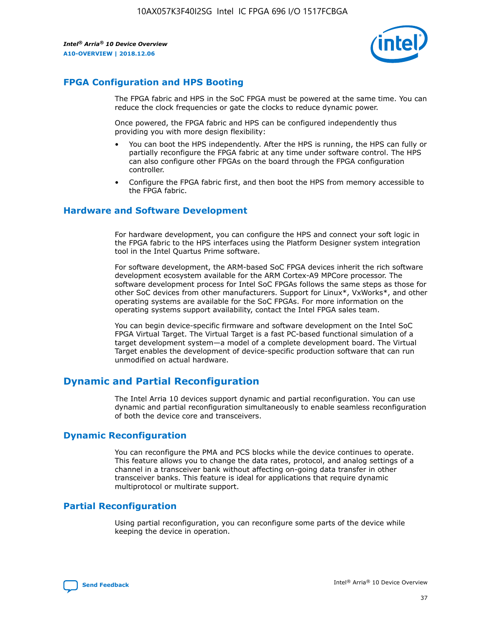

## **FPGA Configuration and HPS Booting**

The FPGA fabric and HPS in the SoC FPGA must be powered at the same time. You can reduce the clock frequencies or gate the clocks to reduce dynamic power.

Once powered, the FPGA fabric and HPS can be configured independently thus providing you with more design flexibility:

- You can boot the HPS independently. After the HPS is running, the HPS can fully or partially reconfigure the FPGA fabric at any time under software control. The HPS can also configure other FPGAs on the board through the FPGA configuration controller.
- Configure the FPGA fabric first, and then boot the HPS from memory accessible to the FPGA fabric.

## **Hardware and Software Development**

For hardware development, you can configure the HPS and connect your soft logic in the FPGA fabric to the HPS interfaces using the Platform Designer system integration tool in the Intel Quartus Prime software.

For software development, the ARM-based SoC FPGA devices inherit the rich software development ecosystem available for the ARM Cortex-A9 MPCore processor. The software development process for Intel SoC FPGAs follows the same steps as those for other SoC devices from other manufacturers. Support for Linux\*, VxWorks\*, and other operating systems are available for the SoC FPGAs. For more information on the operating systems support availability, contact the Intel FPGA sales team.

You can begin device-specific firmware and software development on the Intel SoC FPGA Virtual Target. The Virtual Target is a fast PC-based functional simulation of a target development system—a model of a complete development board. The Virtual Target enables the development of device-specific production software that can run unmodified on actual hardware.

## **Dynamic and Partial Reconfiguration**

The Intel Arria 10 devices support dynamic and partial reconfiguration. You can use dynamic and partial reconfiguration simultaneously to enable seamless reconfiguration of both the device core and transceivers.

## **Dynamic Reconfiguration**

You can reconfigure the PMA and PCS blocks while the device continues to operate. This feature allows you to change the data rates, protocol, and analog settings of a channel in a transceiver bank without affecting on-going data transfer in other transceiver banks. This feature is ideal for applications that require dynamic multiprotocol or multirate support.

## **Partial Reconfiguration**

Using partial reconfiguration, you can reconfigure some parts of the device while keeping the device in operation.

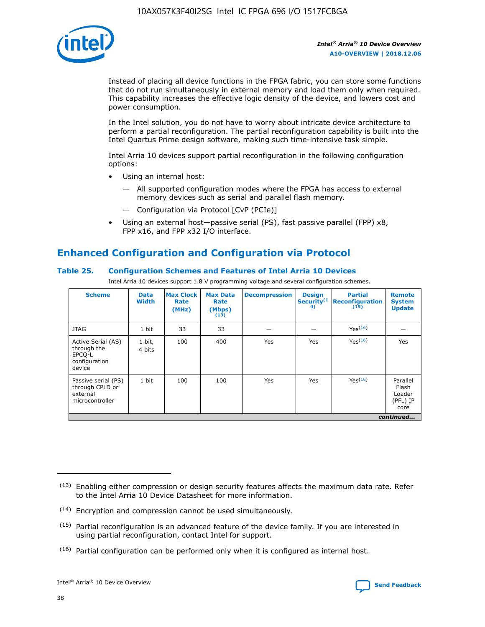

Instead of placing all device functions in the FPGA fabric, you can store some functions that do not run simultaneously in external memory and load them only when required. This capability increases the effective logic density of the device, and lowers cost and power consumption.

In the Intel solution, you do not have to worry about intricate device architecture to perform a partial reconfiguration. The partial reconfiguration capability is built into the Intel Quartus Prime design software, making such time-intensive task simple.

Intel Arria 10 devices support partial reconfiguration in the following configuration options:

- Using an internal host:
	- All supported configuration modes where the FPGA has access to external memory devices such as serial and parallel flash memory.
	- Configuration via Protocol [CvP (PCIe)]
- Using an external host—passive serial (PS), fast passive parallel (FPP) x8, FPP x16, and FPP x32 I/O interface.

# **Enhanced Configuration and Configuration via Protocol**

## **Table 25. Configuration Schemes and Features of Intel Arria 10 Devices**

Intel Arria 10 devices support 1.8 V programming voltage and several configuration schemes.

| <b>Scheme</b>                                                          | <b>Data</b><br><b>Width</b> | <b>Max Clock</b><br>Rate<br>(MHz) | <b>Max Data</b><br>Rate<br>(Mbps)<br>(13) | <b>Decompression</b> | <b>Design</b><br>Security <sup>(1</sup><br>4) | <b>Partial</b><br>Reconfiguration<br>(15) | <b>Remote</b><br><b>System</b><br><b>Update</b> |
|------------------------------------------------------------------------|-----------------------------|-----------------------------------|-------------------------------------------|----------------------|-----------------------------------------------|-------------------------------------------|-------------------------------------------------|
| <b>JTAG</b>                                                            | 1 bit                       | 33                                | 33                                        |                      |                                               | Yes <sup>(16)</sup>                       |                                                 |
| Active Serial (AS)<br>through the<br>EPCO-L<br>configuration<br>device | 1 bit,<br>4 bits            | 100                               | 400                                       | Yes                  | Yes                                           | $Y_{PS}(16)$                              | Yes                                             |
| Passive serial (PS)<br>through CPLD or<br>external<br>microcontroller  | 1 bit                       | 100                               | 100                                       | Yes                  | Yes                                           | Yes(16)                                   | Parallel<br>Flash<br>Loader<br>(PFL) IP<br>core |
|                                                                        |                             |                                   |                                           |                      |                                               |                                           | continued                                       |

<sup>(13)</sup> Enabling either compression or design security features affects the maximum data rate. Refer to the Intel Arria 10 Device Datasheet for more information.

<sup>(14)</sup> Encryption and compression cannot be used simultaneously.

 $(15)$  Partial reconfiguration is an advanced feature of the device family. If you are interested in using partial reconfiguration, contact Intel for support.

 $(16)$  Partial configuration can be performed only when it is configured as internal host.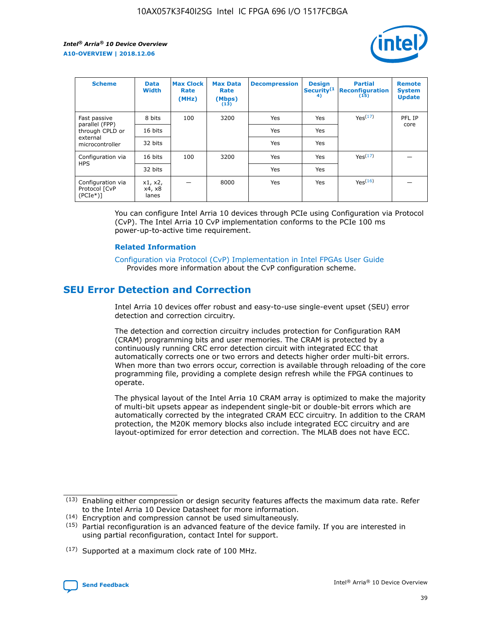

| <b>Scheme</b>                                   | <b>Data</b><br><b>Width</b> | <b>Max Clock</b><br>Rate<br>(MHz) | <b>Max Data</b><br>Rate<br>(Mbps)<br>(13) | <b>Decompression</b> | <b>Design</b><br>Security <sup>(1</sup><br>4) | <b>Partial</b><br><b>Reconfiguration</b><br>(15) | <b>Remote</b><br><b>System</b><br><b>Update</b> |
|-------------------------------------------------|-----------------------------|-----------------------------------|-------------------------------------------|----------------------|-----------------------------------------------|--------------------------------------------------|-------------------------------------------------|
| Fast passive                                    | 8 bits                      | 100                               | 3200                                      | Yes                  | Yes                                           | Yes(17)                                          | PFL IP                                          |
| parallel (FPP)<br>through CPLD or               | 16 bits                     |                                   |                                           | Yes                  | Yes                                           |                                                  | core                                            |
| external<br>microcontroller                     | 32 bits                     |                                   |                                           | Yes                  | Yes                                           |                                                  |                                                 |
| Configuration via                               | 16 bits                     | 100                               | 3200                                      | Yes                  | Yes                                           | Yes <sup>(17)</sup>                              |                                                 |
| <b>HPS</b>                                      | 32 bits                     |                                   |                                           | Yes                  | Yes                                           |                                                  |                                                 |
| Configuration via<br>Protocol [CvP<br>$(PCIe*)$ | x1, x2,<br>x4, x8<br>lanes  |                                   | 8000                                      | Yes                  | Yes                                           | Yes <sup>(16)</sup>                              |                                                 |

You can configure Intel Arria 10 devices through PCIe using Configuration via Protocol (CvP). The Intel Arria 10 CvP implementation conforms to the PCIe 100 ms power-up-to-active time requirement.

#### **Related Information**

[Configuration via Protocol \(CvP\) Implementation in Intel FPGAs User Guide](https://www.intel.com/content/www/us/en/programmable/documentation/dsu1441819344145.html#dsu1442269728522) Provides more information about the CvP configuration scheme.

# **SEU Error Detection and Correction**

Intel Arria 10 devices offer robust and easy-to-use single-event upset (SEU) error detection and correction circuitry.

The detection and correction circuitry includes protection for Configuration RAM (CRAM) programming bits and user memories. The CRAM is protected by a continuously running CRC error detection circuit with integrated ECC that automatically corrects one or two errors and detects higher order multi-bit errors. When more than two errors occur, correction is available through reloading of the core programming file, providing a complete design refresh while the FPGA continues to operate.

The physical layout of the Intel Arria 10 CRAM array is optimized to make the majority of multi-bit upsets appear as independent single-bit or double-bit errors which are automatically corrected by the integrated CRAM ECC circuitry. In addition to the CRAM protection, the M20K memory blocks also include integrated ECC circuitry and are layout-optimized for error detection and correction. The MLAB does not have ECC.

(14) Encryption and compression cannot be used simultaneously.

<sup>(17)</sup> Supported at a maximum clock rate of 100 MHz.



 $(13)$  Enabling either compression or design security features affects the maximum data rate. Refer to the Intel Arria 10 Device Datasheet for more information.

 $(15)$  Partial reconfiguration is an advanced feature of the device family. If you are interested in using partial reconfiguration, contact Intel for support.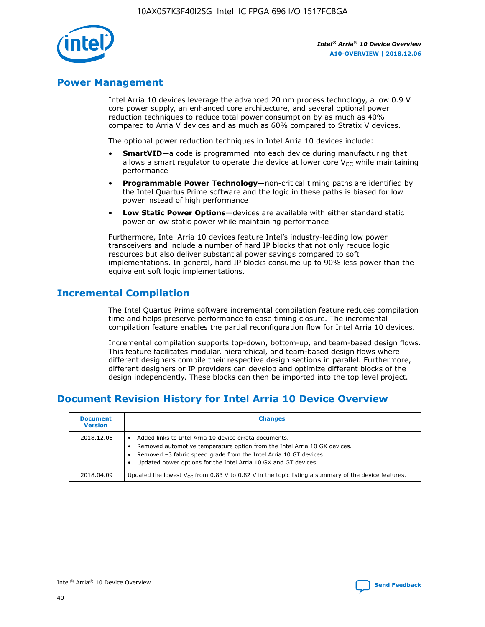

## **Power Management**

Intel Arria 10 devices leverage the advanced 20 nm process technology, a low 0.9 V core power supply, an enhanced core architecture, and several optional power reduction techniques to reduce total power consumption by as much as 40% compared to Arria V devices and as much as 60% compared to Stratix V devices.

The optional power reduction techniques in Intel Arria 10 devices include:

- **SmartVID**—a code is programmed into each device during manufacturing that allows a smart regulator to operate the device at lower core  $V_{CC}$  while maintaining performance
- **Programmable Power Technology**—non-critical timing paths are identified by the Intel Quartus Prime software and the logic in these paths is biased for low power instead of high performance
- **Low Static Power Options**—devices are available with either standard static power or low static power while maintaining performance

Furthermore, Intel Arria 10 devices feature Intel's industry-leading low power transceivers and include a number of hard IP blocks that not only reduce logic resources but also deliver substantial power savings compared to soft implementations. In general, hard IP blocks consume up to 90% less power than the equivalent soft logic implementations.

# **Incremental Compilation**

The Intel Quartus Prime software incremental compilation feature reduces compilation time and helps preserve performance to ease timing closure. The incremental compilation feature enables the partial reconfiguration flow for Intel Arria 10 devices.

Incremental compilation supports top-down, bottom-up, and team-based design flows. This feature facilitates modular, hierarchical, and team-based design flows where different designers compile their respective design sections in parallel. Furthermore, different designers or IP providers can develop and optimize different blocks of the design independently. These blocks can then be imported into the top level project.

# **Document Revision History for Intel Arria 10 Device Overview**

| <b>Document</b><br><b>Version</b> | <b>Changes</b>                                                                                                                                                                                                                                                              |
|-----------------------------------|-----------------------------------------------------------------------------------------------------------------------------------------------------------------------------------------------------------------------------------------------------------------------------|
| 2018.12.06                        | Added links to Intel Arria 10 device errata documents.<br>Removed automotive temperature option from the Intel Arria 10 GX devices.<br>Removed -3 fabric speed grade from the Intel Arria 10 GT devices.<br>Updated power options for the Intel Arria 10 GX and GT devices. |
| 2018.04.09                        | Updated the lowest $V_{CC}$ from 0.83 V to 0.82 V in the topic listing a summary of the device features.                                                                                                                                                                    |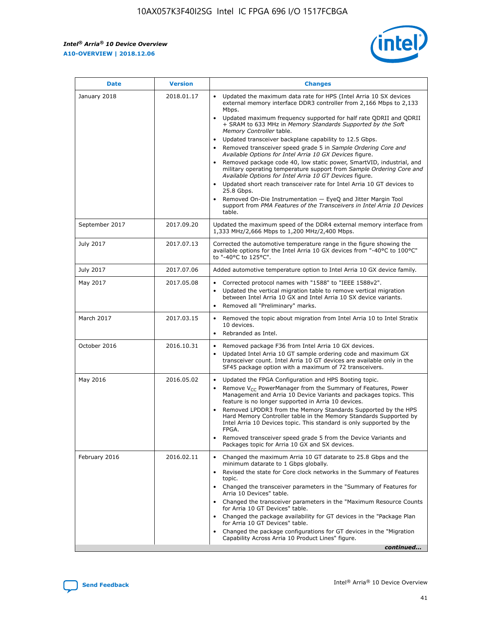*Intel® Arria® 10 Device Overview* **A10-OVERVIEW | 2018.12.06**



| <b>Date</b>    | <b>Version</b> | <b>Changes</b>                                                                                                                                                                                                                                                                                                                                                                                                                                                                                                                                                                                                                                                                                                                                                                                                                                                                                                                                                            |
|----------------|----------------|---------------------------------------------------------------------------------------------------------------------------------------------------------------------------------------------------------------------------------------------------------------------------------------------------------------------------------------------------------------------------------------------------------------------------------------------------------------------------------------------------------------------------------------------------------------------------------------------------------------------------------------------------------------------------------------------------------------------------------------------------------------------------------------------------------------------------------------------------------------------------------------------------------------------------------------------------------------------------|
| January 2018   | 2018.01.17     | Updated the maximum data rate for HPS (Intel Arria 10 SX devices<br>external memory interface DDR3 controller from 2,166 Mbps to 2,133<br>Mbps.<br>Updated maximum frequency supported for half rate QDRII and QDRII<br>+ SRAM to 633 MHz in Memory Standards Supported by the Soft<br>Memory Controller table.<br>Updated transceiver backplane capability to 12.5 Gbps.<br>$\bullet$<br>Removed transceiver speed grade 5 in Sample Ordering Core and<br>Available Options for Intel Arria 10 GX Devices figure.<br>Removed package code 40, low static power, SmartVID, industrial, and<br>military operating temperature support from Sample Ordering Core and<br>Available Options for Intel Arria 10 GT Devices figure.<br>Updated short reach transceiver rate for Intel Arria 10 GT devices to<br>25.8 Gbps.<br>Removed On-Die Instrumentation - EyeQ and Jitter Margin Tool<br>support from PMA Features of the Transceivers in Intel Arria 10 Devices<br>table. |
| September 2017 | 2017.09.20     | Updated the maximum speed of the DDR4 external memory interface from<br>1,333 MHz/2,666 Mbps to 1,200 MHz/2,400 Mbps.                                                                                                                                                                                                                                                                                                                                                                                                                                                                                                                                                                                                                                                                                                                                                                                                                                                     |
| July 2017      | 2017.07.13     | Corrected the automotive temperature range in the figure showing the<br>available options for the Intel Arria 10 GX devices from "-40°C to 100°C"<br>to "-40°C to 125°C".                                                                                                                                                                                                                                                                                                                                                                                                                                                                                                                                                                                                                                                                                                                                                                                                 |
| July 2017      | 2017.07.06     | Added automotive temperature option to Intel Arria 10 GX device family.                                                                                                                                                                                                                                                                                                                                                                                                                                                                                                                                                                                                                                                                                                                                                                                                                                                                                                   |
| May 2017       | 2017.05.08     | Corrected protocol names with "1588" to "IEEE 1588v2".<br>$\bullet$<br>Updated the vertical migration table to remove vertical migration<br>$\bullet$<br>between Intel Arria 10 GX and Intel Arria 10 SX device variants.<br>Removed all "Preliminary" marks.<br>$\bullet$                                                                                                                                                                                                                                                                                                                                                                                                                                                                                                                                                                                                                                                                                                |
| March 2017     | 2017.03.15     | Removed the topic about migration from Intel Arria 10 to Intel Stratix<br>10 devices.<br>Rebranded as Intel.<br>$\bullet$                                                                                                                                                                                                                                                                                                                                                                                                                                                                                                                                                                                                                                                                                                                                                                                                                                                 |
| October 2016   | 2016.10.31     | Removed package F36 from Intel Arria 10 GX devices.<br>Updated Intel Arria 10 GT sample ordering code and maximum GX<br>$\bullet$<br>transceiver count. Intel Arria 10 GT devices are available only in the<br>SF45 package option with a maximum of 72 transceivers.                                                                                                                                                                                                                                                                                                                                                                                                                                                                                                                                                                                                                                                                                                     |
| May 2016       | 2016.05.02     | Updated the FPGA Configuration and HPS Booting topic.<br>$\bullet$<br>Remove V <sub>CC</sub> PowerManager from the Summary of Features, Power<br>Management and Arria 10 Device Variants and packages topics. This<br>feature is no longer supported in Arria 10 devices.<br>Removed LPDDR3 from the Memory Standards Supported by the HPS<br>Hard Memory Controller table in the Memory Standards Supported by<br>Intel Arria 10 Devices topic. This standard is only supported by the<br>FPGA.<br>Removed transceiver speed grade 5 from the Device Variants and<br>Packages topic for Arria 10 GX and SX devices.                                                                                                                                                                                                                                                                                                                                                      |
| February 2016  | 2016.02.11     | Changed the maximum Arria 10 GT datarate to 25.8 Gbps and the<br>minimum datarate to 1 Gbps globally.<br>Revised the state for Core clock networks in the Summary of Features<br>$\bullet$<br>topic.<br>Changed the transceiver parameters in the "Summary of Features for<br>$\bullet$<br>Arria 10 Devices" table.<br>• Changed the transceiver parameters in the "Maximum Resource Counts<br>for Arria 10 GT Devices" table.<br>Changed the package availability for GT devices in the "Package Plan<br>for Arria 10 GT Devices" table.<br>Changed the package configurations for GT devices in the "Migration"<br>Capability Across Arria 10 Product Lines" figure.<br>continued                                                                                                                                                                                                                                                                                       |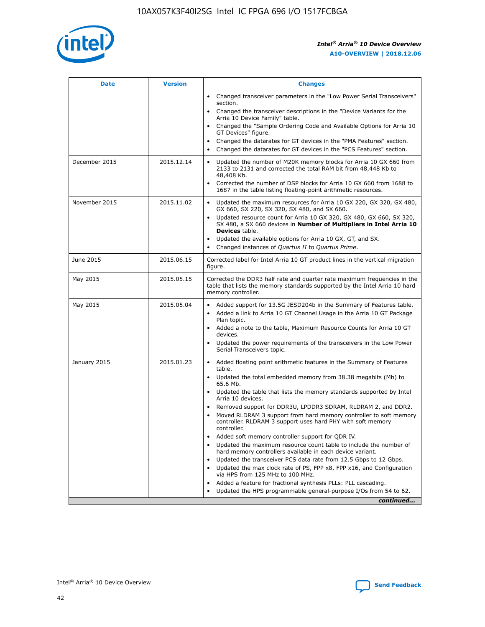

| <b>Date</b>   | <b>Version</b> | <b>Changes</b>                                                                                                                                                               |
|---------------|----------------|------------------------------------------------------------------------------------------------------------------------------------------------------------------------------|
|               |                | • Changed transceiver parameters in the "Low Power Serial Transceivers"<br>section.                                                                                          |
|               |                | • Changed the transceiver descriptions in the "Device Variants for the<br>Arria 10 Device Family" table.                                                                     |
|               |                | Changed the "Sample Ordering Code and Available Options for Arria 10<br>$\bullet$<br>GT Devices" figure.                                                                     |
|               |                | Changed the datarates for GT devices in the "PMA Features" section.                                                                                                          |
|               |                | Changed the datarates for GT devices in the "PCS Features" section.<br>$\bullet$                                                                                             |
| December 2015 | 2015.12.14     | Updated the number of M20K memory blocks for Arria 10 GX 660 from<br>2133 to 2131 and corrected the total RAM bit from 48,448 Kb to<br>48,408 Kb.                            |
|               |                | Corrected the number of DSP blocks for Arria 10 GX 660 from 1688 to<br>1687 in the table listing floating-point arithmetic resources.                                        |
| November 2015 | 2015.11.02     | Updated the maximum resources for Arria 10 GX 220, GX 320, GX 480,<br>$\bullet$<br>GX 660, SX 220, SX 320, SX 480, and SX 660.                                               |
|               |                | • Updated resource count for Arria 10 GX 320, GX 480, GX 660, SX 320,<br>SX 480, a SX 660 devices in Number of Multipliers in Intel Arria 10<br><b>Devices</b> table.        |
|               |                | Updated the available options for Arria 10 GX, GT, and SX.                                                                                                                   |
|               |                | Changed instances of Quartus II to Quartus Prime.<br>$\bullet$                                                                                                               |
| June 2015     | 2015.06.15     | Corrected label for Intel Arria 10 GT product lines in the vertical migration<br>figure.                                                                                     |
| May 2015      | 2015.05.15     | Corrected the DDR3 half rate and quarter rate maximum frequencies in the<br>table that lists the memory standards supported by the Intel Arria 10 hard<br>memory controller. |
| May 2015      | 2015.05.04     | • Added support for 13.5G JESD204b in the Summary of Features table.                                                                                                         |
|               |                | • Added a link to Arria 10 GT Channel Usage in the Arria 10 GT Package<br>Plan topic.                                                                                        |
|               |                | • Added a note to the table, Maximum Resource Counts for Arria 10 GT<br>devices.                                                                                             |
|               |                | • Updated the power requirements of the transceivers in the Low Power<br>Serial Transceivers topic.                                                                          |
| January 2015  | 2015.01.23     | • Added floating point arithmetic features in the Summary of Features<br>table.                                                                                              |
|               |                | • Updated the total embedded memory from 38.38 megabits (Mb) to<br>65.6 Mb.                                                                                                  |
|               |                | • Updated the table that lists the memory standards supported by Intel<br>Arria 10 devices.                                                                                  |
|               |                | Removed support for DDR3U, LPDDR3 SDRAM, RLDRAM 2, and DDR2.                                                                                                                 |
|               |                | Moved RLDRAM 3 support from hard memory controller to soft memory<br>controller. RLDRAM 3 support uses hard PHY with soft memory<br>controller.                              |
|               |                | Added soft memory controller support for QDR IV.<br>٠                                                                                                                        |
|               |                | Updated the maximum resource count table to include the number of<br>hard memory controllers available in each device variant.                                               |
|               |                | Updated the transceiver PCS data rate from 12.5 Gbps to 12 Gbps.<br>$\bullet$                                                                                                |
|               |                | Updated the max clock rate of PS, FPP x8, FPP x16, and Configuration<br>via HPS from 125 MHz to 100 MHz.                                                                     |
|               |                | Added a feature for fractional synthesis PLLs: PLL cascading.                                                                                                                |
|               |                | Updated the HPS programmable general-purpose I/Os from 54 to 62.<br>$\bullet$                                                                                                |
|               |                | continued                                                                                                                                                                    |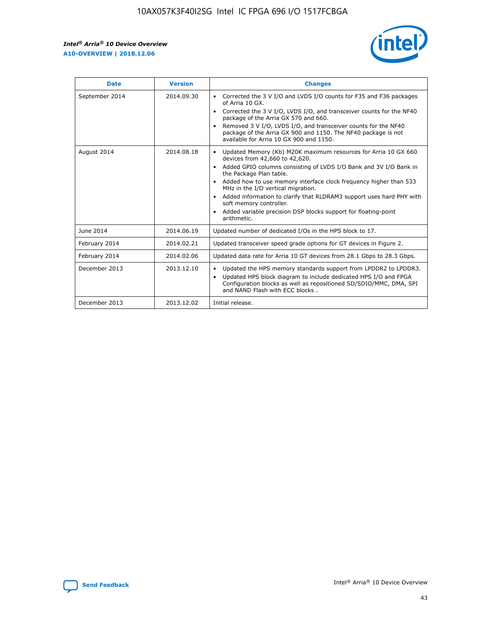r



| <b>Date</b>    | <b>Version</b> | <b>Changes</b>                                                                                                                                                                                                                                                                                                                                                                                                                                                                                                                                      |
|----------------|----------------|-----------------------------------------------------------------------------------------------------------------------------------------------------------------------------------------------------------------------------------------------------------------------------------------------------------------------------------------------------------------------------------------------------------------------------------------------------------------------------------------------------------------------------------------------------|
| September 2014 | 2014.09.30     | Corrected the 3 V I/O and LVDS I/O counts for F35 and F36 packages<br>$\bullet$<br>of Arria 10 GX.<br>Corrected the 3 V I/O, LVDS I/O, and transceiver counts for the NF40<br>$\bullet$<br>package of the Arria GX 570 and 660.<br>Removed 3 V I/O, LVDS I/O, and transceiver counts for the NF40<br>package of the Arria GX 900 and 1150. The NF40 package is not<br>available for Arria 10 GX 900 and 1150.                                                                                                                                       |
| August 2014    | 2014.08.18     | Updated Memory (Kb) M20K maximum resources for Arria 10 GX 660<br>devices from 42,660 to 42,620.<br>Added GPIO columns consisting of LVDS I/O Bank and 3V I/O Bank in<br>$\bullet$<br>the Package Plan table.<br>Added how to use memory interface clock frequency higher than 533<br>$\bullet$<br>MHz in the I/O vertical migration.<br>Added information to clarify that RLDRAM3 support uses hard PHY with<br>$\bullet$<br>soft memory controller.<br>Added variable precision DSP blocks support for floating-point<br>$\bullet$<br>arithmetic. |
| June 2014      | 2014.06.19     | Updated number of dedicated I/Os in the HPS block to 17.                                                                                                                                                                                                                                                                                                                                                                                                                                                                                            |
| February 2014  | 2014.02.21     | Updated transceiver speed grade options for GT devices in Figure 2.                                                                                                                                                                                                                                                                                                                                                                                                                                                                                 |
| February 2014  | 2014.02.06     | Updated data rate for Arria 10 GT devices from 28.1 Gbps to 28.3 Gbps.                                                                                                                                                                                                                                                                                                                                                                                                                                                                              |
| December 2013  | 2013.12.10     | Updated the HPS memory standards support from LPDDR2 to LPDDR3.<br>Updated HPS block diagram to include dedicated HPS I/O and FPGA<br>$\bullet$<br>Configuration blocks as well as repositioned SD/SDIO/MMC, DMA, SPI<br>and NAND Flash with ECC blocks.                                                                                                                                                                                                                                                                                            |
| December 2013  | 2013.12.02     | Initial release.                                                                                                                                                                                                                                                                                                                                                                                                                                                                                                                                    |